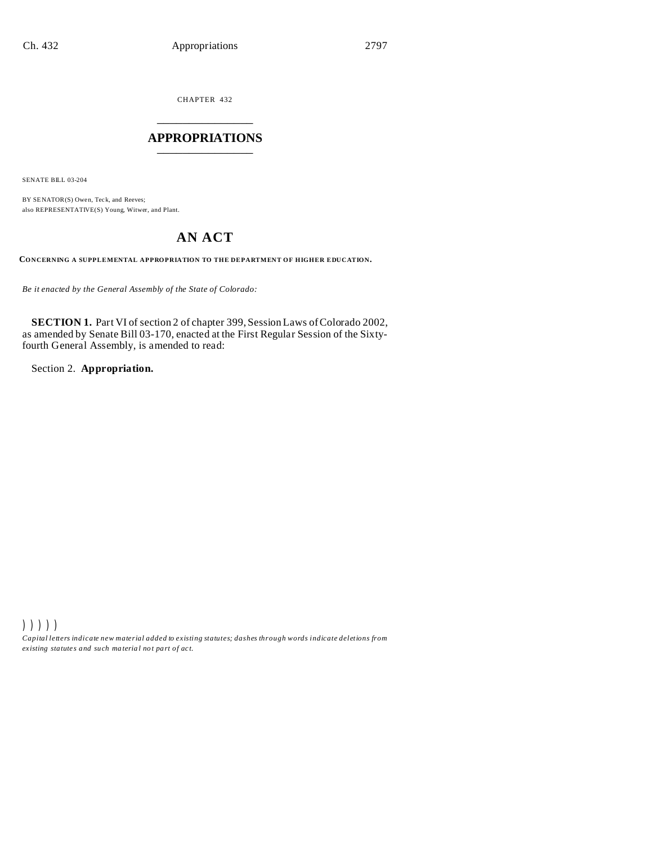CHAPTER 432 \_\_\_\_\_\_\_\_\_\_\_\_\_\_\_

### **APPROPRIATIONS** \_\_\_\_\_\_\_\_\_\_\_\_\_\_\_

SENATE BILL 03-204

BY SENATOR(S) Owen, Teck, and Reeves; also REPRESENTATIVE(S) Young, Witwer, and Plant.

## **AN ACT**

**CONCERNING A SUPPLEMENTAL APPROPRIATION TO THE DEPARTMENT OF HIGHER EDUCATION.**

*Be it enacted by the General Assembly of the State of Colorado:*

**SECTION 1.** Part VI of section 2 of chapter 399, Session Laws of Colorado 2002, as amended by Senate Bill 03-170, enacted at the First Regular Session of the Sixtyfourth General Assembly, is amended to read:

Section 2. **Appropriation.**

))))) *Capital letters indicate new material added to existing statutes; dashes through words indicate deletions from ex isting statute s and such ma teria l no t pa rt of ac t.*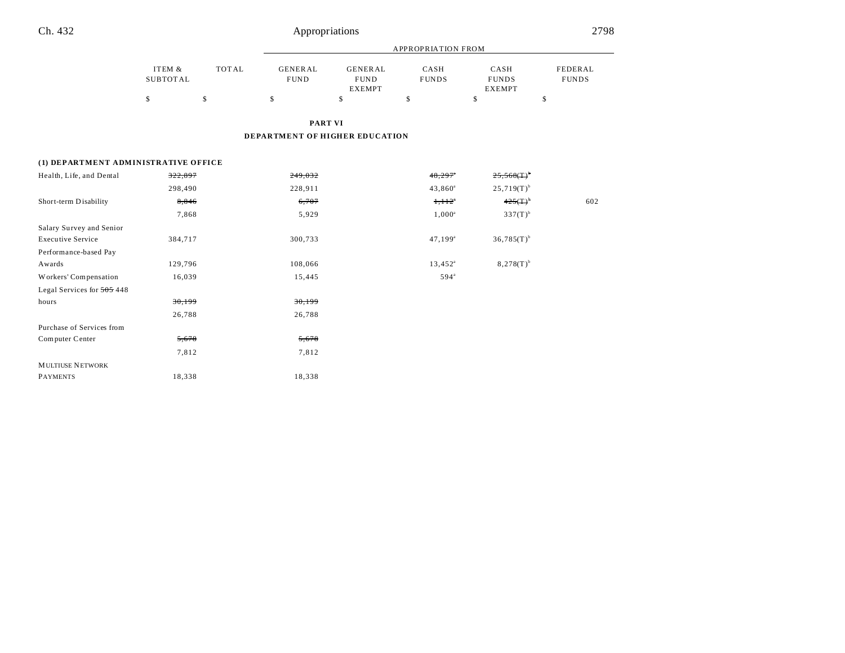MULTIUSE NETWORK

PAYMENTS 18,338 18,338

|                                      |                                 |                    |                                       |                                                      | <b>APPROPRIATION FROM</b>  |                                             |                               |
|--------------------------------------|---------------------------------|--------------------|---------------------------------------|------------------------------------------------------|----------------------------|---------------------------------------------|-------------------------------|
|                                      | ITEM &<br><b>SUBTOTAL</b><br>\$ | <b>TOTAL</b><br>\$ | <b>GENERAL</b><br><b>FUND</b><br>\$   | <b>GENERAL</b><br><b>FUND</b><br><b>EXEMPT</b><br>\$ | CASH<br><b>FUNDS</b><br>\$ | CASH<br><b>FUNDS</b><br><b>EXEMPT</b><br>\$ | FEDERAL<br><b>FUNDS</b><br>\$ |
|                                      |                                 |                    |                                       |                                                      |                            |                                             |                               |
|                                      |                                 |                    | <b>PART VI</b>                        |                                                      |                            |                                             |                               |
|                                      |                                 |                    | <b>DEPARTMENT OF HIGHER EDUCATION</b> |                                                      |                            |                                             |                               |
|                                      |                                 |                    |                                       |                                                      |                            |                                             |                               |
| (1) DEPARTMENT ADMINISTRATIVE OFFICE |                                 |                    |                                       |                                                      |                            |                                             |                               |
| Health, Life, and Dental             | 322,897                         |                    | 249,032                               |                                                      | 48,297                     | $25,568($ T $)^{b}$                         |                               |
|                                      | 298,490                         |                    | 228,911                               |                                                      | $43,860^a$                 | $25,719(T)$ <sup>b</sup>                    |                               |
| Short-term Disability                | 8,846                           |                    | 6,707                                 |                                                      | $1,112^*$                  | $425(T)^{h}$                                | 602                           |
|                                      | 7,868                           |                    | 5,929                                 |                                                      | $1,000^a$                  | $337(T)^{b}$                                |                               |
| Salary Survey and Senior             |                                 |                    |                                       |                                                      |                            |                                             |                               |
| <b>Executive Service</b>             | 384,717                         |                    | 300,733                               |                                                      | $47,199^{\circ}$           | $36,785(T)^{b}$                             |                               |
| Performance-based Pay                |                                 |                    |                                       |                                                      |                            |                                             |                               |
| Awards                               | 129,796                         |                    | 108,066                               |                                                      | $13,452^{\circ}$           | $8,278(T)^{b}$                              |                               |
| Workers' Compensation                | 16,039                          |                    | 15,445                                |                                                      | 594 <sup>a</sup>           |                                             |                               |
| Legal Services for 505 448           |                                 |                    |                                       |                                                      |                            |                                             |                               |
| hours                                | 30,199                          |                    | 30,199                                |                                                      |                            |                                             |                               |
|                                      | 26,788                          |                    | 26,788                                |                                                      |                            |                                             |                               |
| Purchase of Services from            |                                 |                    |                                       |                                                      |                            |                                             |                               |
| Computer Center                      | 5,678                           |                    | 5,678                                 |                                                      |                            |                                             |                               |
|                                      | 7,812                           |                    | 7,812                                 |                                                      |                            |                                             |                               |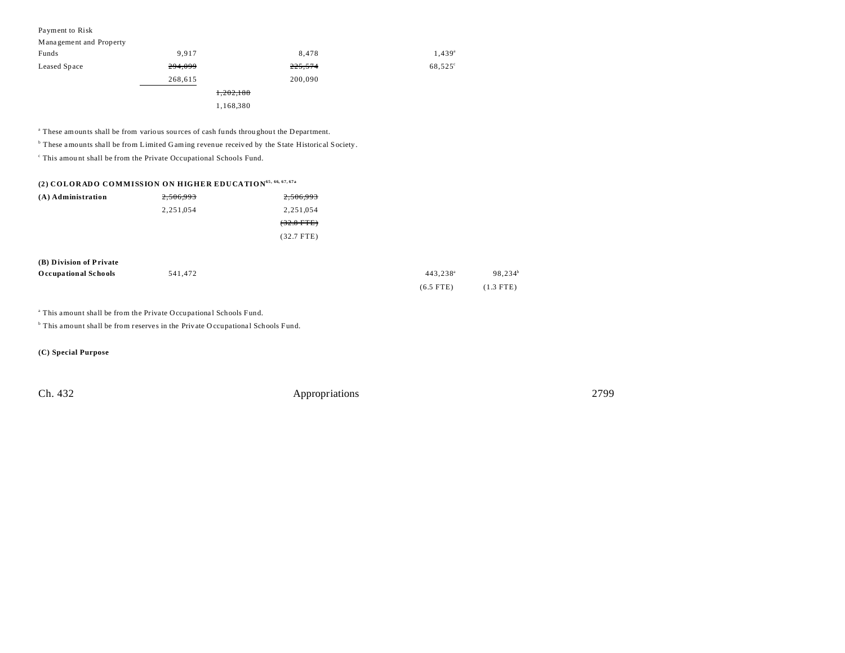| Payment to Risk |  |  |
|-----------------|--|--|
|-----------------|--|--|

| Management and Property |           |         |                     |
|-------------------------|-----------|---------|---------------------|
| Funds                   | 9.917     | 8.478   | $1,439^a$           |
| Leased Space            | 294,099   | 225,574 | 68,525 <sup>°</sup> |
|                         | 268,615   | 200,090 |                     |
|                         | 1,202,188 |         |                     |
|                         | 1,168,380 |         |                     |

<sup>a</sup> These amounts shall be from various sources of cash funds throughout the Department.

<sup>b</sup> These amounts shall be from Limited Gaming revenue received by the State Historical Society.

c This amou nt shall be from the Private Occupational Schools Fund.

### **(2) COLORADO COMMISSION ON HIGHER EDUCATION65, 66, 67, 67a**

| (A) Administration | 2,506,993 | 2,506,993    |
|--------------------|-----------|--------------|
|                    | 2.251.054 | 2.251.054    |
|                    |           | $(32.8$ FTE) |
|                    |           | $(32.7$ FTE) |

| (B) Division of Private     |         |                      |                     |
|-----------------------------|---------|----------------------|---------------------|
| <b>Occupational Schools</b> | 541,472 | 443.238 <sup>a</sup> | 98.234 <sup>b</sup> |
|                             |         | $(6.5$ FTE)          | $(1.3$ FTE)         |

<sup>a</sup> This amount shall be from the Private Occupational Schools Fund.

<sup>b</sup> This amount shall be from reserves in the Private O ccupational Schools Fund.

**(C) Special Purpose**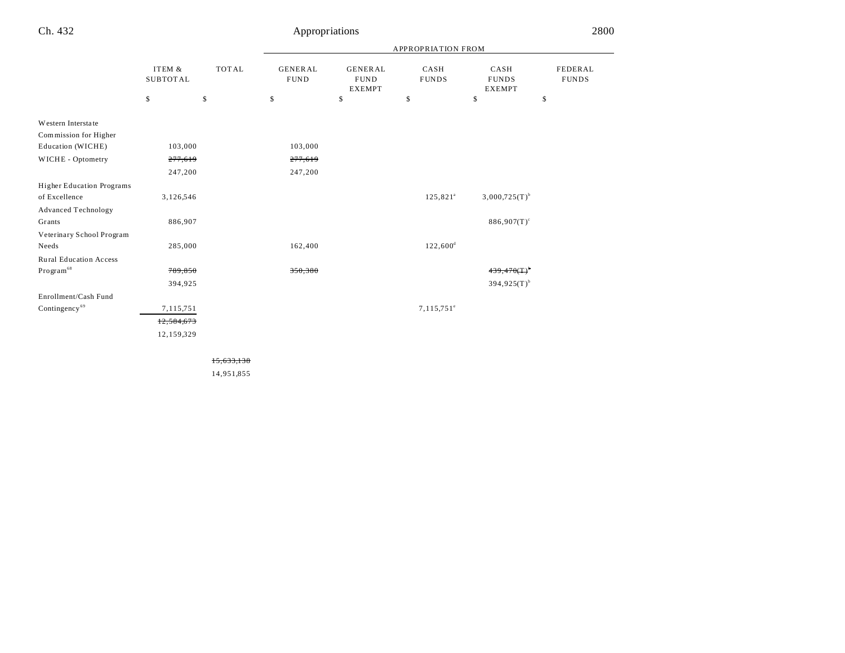|                                                   |                           |              |                               |                                                | APPROPRIATION FROM         |                                       |                                |
|---------------------------------------------------|---------------------------|--------------|-------------------------------|------------------------------------------------|----------------------------|---------------------------------------|--------------------------------|
|                                                   | ITEM &<br><b>SUBTOTAL</b> | <b>TOTAL</b> | <b>GENERAL</b><br><b>FUND</b> | <b>GENERAL</b><br><b>FUND</b><br><b>EXEMPT</b> | CASH<br><b>FUNDS</b>       | CASH<br><b>FUNDS</b><br><b>EXEMPT</b> | <b>FEDERAL</b><br><b>FUNDS</b> |
|                                                   | \$                        | \$           | \$                            | \$                                             | \$                         | \$                                    | \$                             |
| Western Interstate<br>Commission for Higher       |                           |              |                               |                                                |                            |                                       |                                |
| Education (WICHE)                                 | 103,000                   |              | 103,000                       |                                                |                            |                                       |                                |
| WICHE - Optometry                                 | 277,619                   |              | 277,619                       |                                                |                            |                                       |                                |
|                                                   | 247,200                   |              | 247,200                       |                                                |                            |                                       |                                |
| <b>Higher Education Programs</b><br>of Excellence | 3,126,546                 |              |                               |                                                | $125,821^a$                | $3,000,725(T)^{b}$                    |                                |
| <b>Advanced Technology</b>                        |                           |              |                               |                                                |                            |                                       |                                |
| Grants                                            | 886,907                   |              |                               |                                                |                            | $886,907(T)^c$                        |                                |
| Veterinary School Program                         |                           |              |                               |                                                |                            |                                       |                                |
| Needs                                             | 285,000                   |              | 162,400                       |                                                | $122,600^{\rm d}$          |                                       |                                |
| <b>Rural Education Access</b>                     |                           |              |                               |                                                |                            |                                       |                                |
| $\mathbf{Program}^{68}$                           | 789,850                   |              | 350,380                       |                                                |                            | 439,470(T)                            |                                |
|                                                   | 394,925                   |              |                               |                                                |                            | $394,925(T)^{b}$                      |                                |
| Enrollment/Cash Fund                              |                           |              |                               |                                                |                            |                                       |                                |
| Contingency <sup>69</sup>                         | 7,115,751                 |              |                               |                                                | $7, 115, 751$ <sup>e</sup> |                                       |                                |
|                                                   | 12,584,673                |              |                               |                                                |                            |                                       |                                |
|                                                   | 12,159,329                |              |                               |                                                |                            |                                       |                                |
|                                                   |                           |              |                               |                                                |                            |                                       |                                |

15,633,138

14,951,855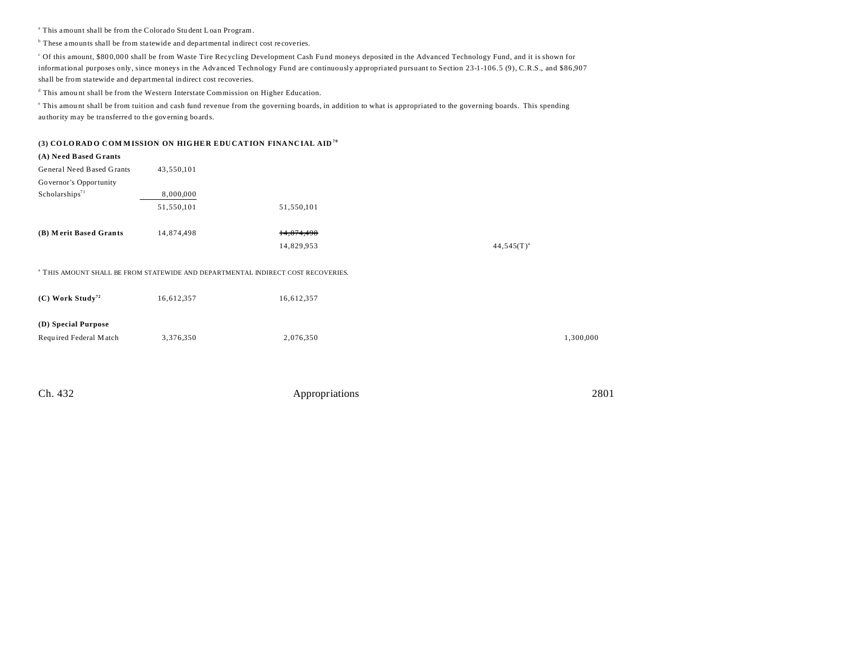<sup>a</sup> This amount shall be from the Colorado Student Loan Program.

<sup>b</sup> These amounts shall be from statewide and departmental indirect cost recoveries.

<sup>c</sup> Of this amount, \$80 0,00 0 shall be from Waste Tire Recycling Development Cash Fu nd moneys deposited in the Advanced Technology Fund, and it is shown for informational purposes only, since moneys in the Advanced Technology Fund are continuously appropriated pursuant to Section 23-1-106.5 (9), C.R.S., and \$86,907 shall be from statewide and departmental indirect cost recoveries.

<sup>d</sup> This amount shall be from the Western Interstate Commission on Higher Education.

This amount shall be from tuition and cash fund revenue from the governing boards, in addition to what is appropriated to the governing boards. This spending au thority may be tra nsferred to the governing boards.

#### **(3) CO LORAD O C OM M ISSION ON HIGHE R EDU CATION FINANC IAL AID <sup>70</sup>**

# **(A) Ne ed Based Grants** General Need Based Grants 43,550,101 Governor's Opportunity  $Scholarships<sup>71</sup>$  8,000,000 51,550,101 51,550,101 **(B)** Merit Based Grants 14,874,498 14,874,498 14,829,953 44,545(T)<sup>a</sup>

a THIS AMOUNT SHALL BE FROM STATEWIDE AND DEPARTMENTAL INDIRECT COST RECOVERIES.

| $(C)$ Work Study <sup>72</sup> | 16,612,357 | 16,612,357 |           |
|--------------------------------|------------|------------|-----------|
| (D) Special Purpose            |            |            |           |
| Required Federal Match         | 3,376,350  | 2,076,350  | 1,300,000 |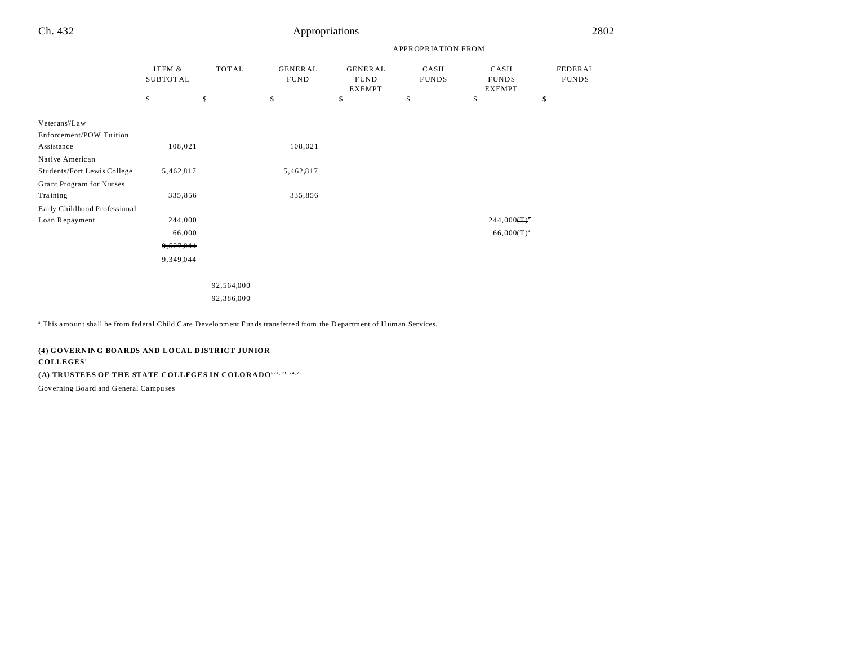|                              |                          |             |                                     |                                               | APPROPRIATION FROM         |                                             |                               |
|------------------------------|--------------------------|-------------|-------------------------------------|-----------------------------------------------|----------------------------|---------------------------------------------|-------------------------------|
|                              | ITEM &<br>SUBTOTAL<br>\$ | TOTAL<br>\$ | <b>GENERAL</b><br><b>FUND</b><br>\$ | <b>GENERAL</b><br><b>FUND</b><br>EXEMPT<br>\$ | CASH<br><b>FUNDS</b><br>\$ | CASH<br><b>FUNDS</b><br><b>EXEMPT</b><br>\$ | FEDERAL<br><b>FUNDS</b><br>\$ |
| Veterans'/Law                |                          |             |                                     |                                               |                            |                                             |                               |
| Enforcement/POW Tuition      |                          |             |                                     |                                               |                            |                                             |                               |
| Assistance                   | 108,021                  |             | 108,021                             |                                               |                            |                                             |                               |
| Native American              |                          |             |                                     |                                               |                            |                                             |                               |
| Students/Fort Lewis College  | 5,462,817                |             | 5,462,817                           |                                               |                            |                                             |                               |
| Grant Program for Nurses     |                          |             |                                     |                                               |                            |                                             |                               |
| Training                     | 335,856                  |             | 335,856                             |                                               |                            |                                             |                               |
| Early Childhood Professional |                          |             |                                     |                                               |                            |                                             |                               |
| Loan Repayment               | 244,000                  |             |                                     |                                               |                            | $244,000(T)^*$                              |                               |
|                              | 66,000                   |             |                                     |                                               |                            | $66,000(T)^{a}$                             |                               |
|                              | 9,527,044                |             |                                     |                                               |                            |                                             |                               |
|                              | 9,349,044                |             |                                     |                                               |                            |                                             |                               |
|                              |                          |             |                                     |                                               |                            |                                             |                               |
|                              |                          |             |                                     |                                               |                            |                                             |                               |

92,564,000

92,386,000

<sup>a</sup> This amount shall be from federal Child Care Development Funds transferred from the Department of Human Services.

### **(4) GOVERNING BOARDS AND LOCAL DISTRICT JUNIOR**

#### **COLLEGES<sup>1</sup>**

**(A) TRUSTEES OF THE STATE COLLEGES IN COLORADO67a, 73, 74, 75**

Governing Boa rd and G eneral Campu ses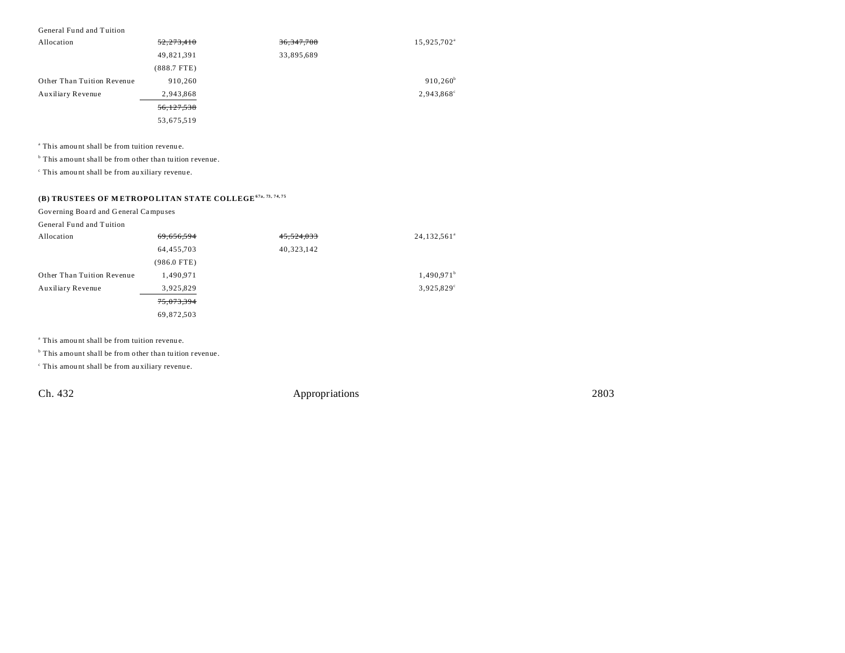#### General Fund and Tuition

| Allocation                 | 52,273,410    | 36, 347, 708 | 15,925,702 <sup>a</sup> |
|----------------------------|---------------|--------------|-------------------------|
|                            | 49,821,391    | 33,895,689   |                         |
|                            | $(888.7$ FTE) |              |                         |
| Other Than Tuition Revenue | 910.260       |              | $910,260^{\rm b}$       |
| Auxiliary Revenue          | 2,943,868     |              | 2,943,868°              |
|                            | 56,127,538    |              |                         |
|                            | 53,675,519    |              |                         |

a This amou nt shall be from tuition revenu e.

<sup>b</sup> This amount shall be from other than tuition revenue.

c This amou nt shall be from au xiliary revenue.

### **(B) TRUSTEES OF M ETROPO LITAN STATE COLLEGE67a, 73, 74, 75**

Governing Boa rd and G eneral Campu ses

| General Fund and Tuition   |             |            |                         |
|----------------------------|-------------|------------|-------------------------|
| Allocation                 | 69,656,594  | 45,524,033 | 24,132,561 <sup>a</sup> |
|                            | 64,455,703  | 40,323,142 |                         |
|                            | (986.0 FTE) |            |                         |
| Other Than Tuition Revenue | 1,490,971   |            | 1,490.971 <sup>b</sup>  |
| Auxiliary Revenue          | 3,925,829   |            | 3,925,829°              |
|                            | 75,073,394  |            |                         |
|                            | 69,872,503  |            |                         |

a This amou nt shall be from tuition revenu e.

<sup>b</sup> This amount shall be from other than tuition revenue.

c This amou nt shall be from au xiliary revenue.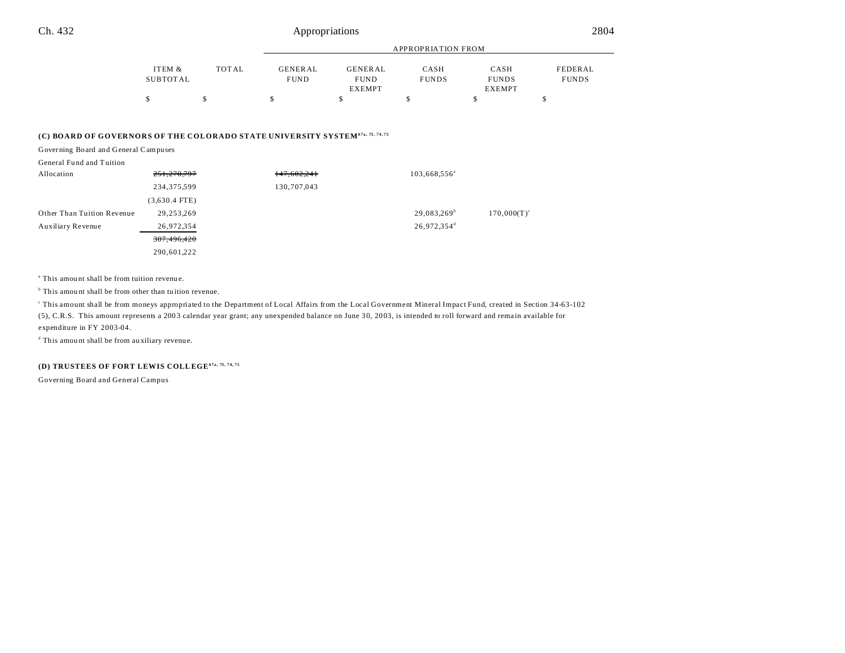|          |              |                | APPROPRIATION FROM |              |               |              |  |  |
|----------|--------------|----------------|--------------------|--------------|---------------|--------------|--|--|
| ITEM &   | <b>TOTAL</b> | <b>GENERAL</b> | GENERAL            | CASH         | CASH          | FEDERAL      |  |  |
| SUBTOTAL |              | <b>FUND</b>    | <b>FUND</b>        | <b>FUNDS</b> | <b>FUNDS</b>  | <b>FUNDS</b> |  |  |
|          |              |                | <b>EXEMPT</b>      |              | <b>EXEMPT</b> |              |  |  |
|          |              |                |                    |              |               |              |  |  |

#### **(C) BOARD OF GOVERNORS OF THE COLORADO STATE UNIVERSITY SYSTEM67a, 73, 74, 75**

Governing Board and General Campuses

| General Fund and Tuition |
|--------------------------|
|--------------------------|

| Allocation                 | 251,270,797     | 147,602,241 | $103,668,556^{\circ}$   |                |
|----------------------------|-----------------|-------------|-------------------------|----------------|
|                            | 234,375,599     | 130,707,043 |                         |                |
|                            | $(3,630.4$ FTE) |             |                         |                |
| Other Than Tuition Revenue | 29,253,269      |             | $29,083,269^{\circ}$    | $170,000(T)^c$ |
| Auxiliary Revenue          | 26,972,354      |             | 26,972,354 <sup>d</sup> |                |
|                            | 307,496,420     |             |                         |                |
|                            | 290,601,222     |             |                         |                |

a This amou nt shall be from tuition revenu e.

<sup>b</sup> This amount shall be from other than tuition revenue.

c This amount shall be from moneys appropriated to the Department of Local Affairs from the Local Government Mineral Impact Fund, created in Section 34-63-102

(5), C.R.S. This amount represents a 200 3 calendar year grant; any unexpended balance on June 3 0, 20 03, is intended to roll forward and rema in available for expenditure in FY 2003-04.

d This amou nt shall be from au xiliary revenue.

### **(D) TRUSTEES OF FORT LEWIS COLLEGE67a, 73, 74, 75**

Governing Board and General Campus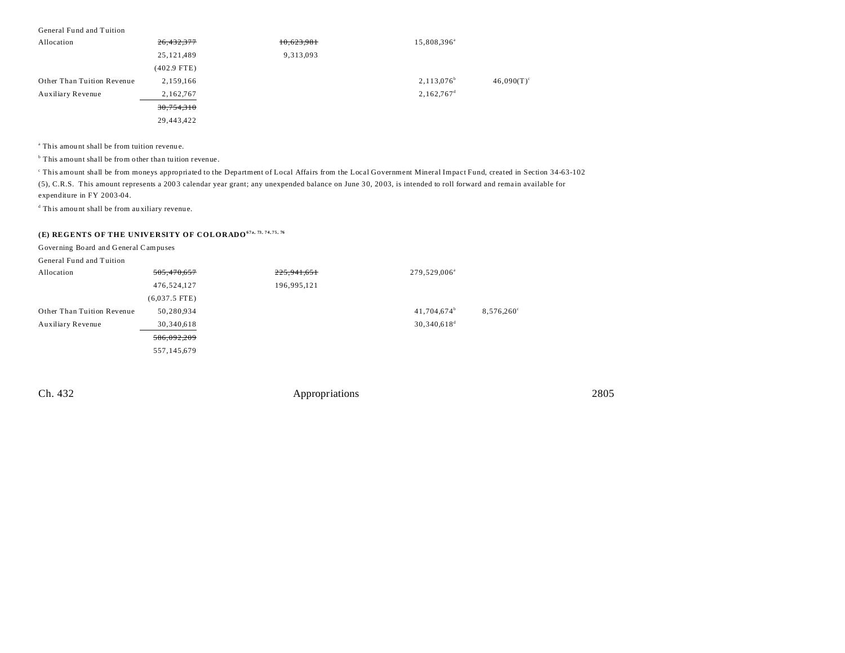#### General Fund and Tuition

| Allocation                 | 26,432,377    | 10,623,981 | 15,808,396 <sup>a</sup>  |               |
|----------------------------|---------------|------------|--------------------------|---------------|
|                            | 25,121,489    | 9,313,093  |                          |               |
|                            | $(402.9$ FTE) |            |                          |               |
| Other Than Tuition Revenue | 2,159,166     |            | $2,113,076^b$            | $46,090(T)^c$ |
| Auxiliary Revenue          | 2,162,767     |            | $2,162,767$ <sup>d</sup> |               |
|                            | 30,754,310    |            |                          |               |
|                            | 29,443,422    |            |                          |               |

a This amou nt shall be from tuition revenu e.

<sup>b</sup> This amount shall be from other than tuition revenue.

c This amount shall be from moneys appropriated to the Department of Local Affairs from the Local Government Mineral Impact Fund, created in Section 34-63-102 (5), C.R.S. This amount represents a 200 3 calendar year grant; any unexpended balance on June 3 0, 20 03, is intended to roll forward and rema in available for expenditure in FY 2003-04.

d This amou nt shall be from au xiliary revenue.

### **(E) REGENTS OF THE UNIVERSITY OF COLORADO67a, 73, 74, 75, 76**

Governing Board and General Campuses

General Fund and Tuition

| Allocation                 | 505,470,657     | 225, 941, 651 | 279,529,006 <sup>a</sup>  |                     |
|----------------------------|-----------------|---------------|---------------------------|---------------------|
|                            | 476,524,127     | 196,995,121   |                           |                     |
|                            | $(6,037.5$ FTE) |               |                           |                     |
| Other Than Tuition Revenue | 50,280,934      |               | $41,704,674^b$            | $8,576,260^{\circ}$ |
| Auxiliary Revenue          | 30,340,618      |               | $30,340,618$ <sup>d</sup> |                     |
|                            | 586,092,209     |               |                           |                     |
|                            | 557,145,679     |               |                           |                     |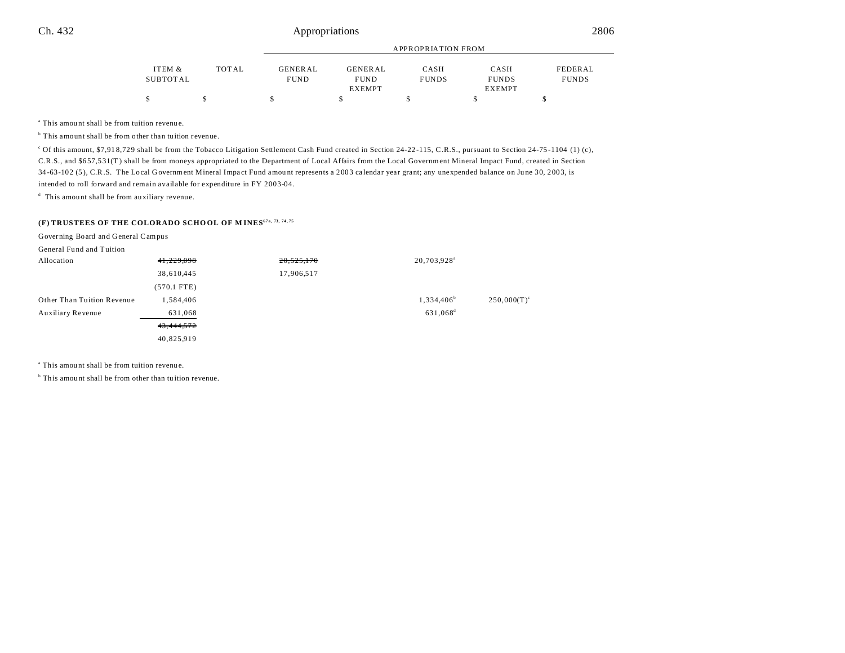|          |       |                | APPROPRIATION FROM |              |               |              |  |  |  |
|----------|-------|----------------|--------------------|--------------|---------------|--------------|--|--|--|
| ITEM &   | TOTAL | <b>GENERAL</b> | <b>GENERAL</b>     | CASH         | CASH          | FEDERAL      |  |  |  |
| SUBTOTAL |       | <b>FUND</b>    | <b>FUND</b>        | <b>FUNDS</b> | <b>FUNDS</b>  | <b>FUNDS</b> |  |  |  |
|          |       |                | <b>EXEMPT</b>      |              | <b>EXEMPT</b> |              |  |  |  |
| \$       |       |                |                    |              |               |              |  |  |  |

a This amou nt shall be from tuition revenu e.

<sup>b</sup> This amount shall be from other than tuition revenue.

<sup>c</sup> Of this amount, \$7,918,729 shall be from the Tobacco Litigation Settlement Cash Fund created in Section 24-22-115, C.R.S., pursuant to Section 24-75-1104 (1) (c), C.R.S., and \$6 57,5 31(T ) shall be from moneys appropriated to the Department of Local Affairs from the Local Government Mineral Impact Fund, created in Section 34-63-102 (5), C.R.S. The Local Government Mineral Impact Fund amount represents a 2003 calendar year grant; any unexpended balance on June 30, 2003, is intended to roll forward and remain available for expenditure in FY 2003-04.

d This amou nt shall be from au xiliary revenue.

### **(F) TRUSTEES OF THE COLORADO SCHO OL OF M INES67a, 73, 74, 75**

Governing Board and General Campus

| General Fund and Tuition   |               |            |                         |                      |
|----------------------------|---------------|------------|-------------------------|----------------------|
| Allocation                 | 41,229,098    | 20,525,170 | 20,703,928 <sup>a</sup> |                      |
|                            | 38,610,445    | 17,906,517 |                         |                      |
|                            | $(570.1$ FTE) |            |                         |                      |
| Other Than Tuition Revenue | 1,584,406     |            | 1,334,406 <sup>b</sup>  | $250,000(T)^{\circ}$ |
| Auxiliary Revenue          | 631,068       |            | 631,068 <sup>d</sup>    |                      |
|                            | 43,444,572    |            |                         |                      |
|                            | 40,825,919    |            |                         |                      |

a This amou nt shall be from tuition revenu e.

<sup>b</sup> This amount shall be from other than tuition revenue.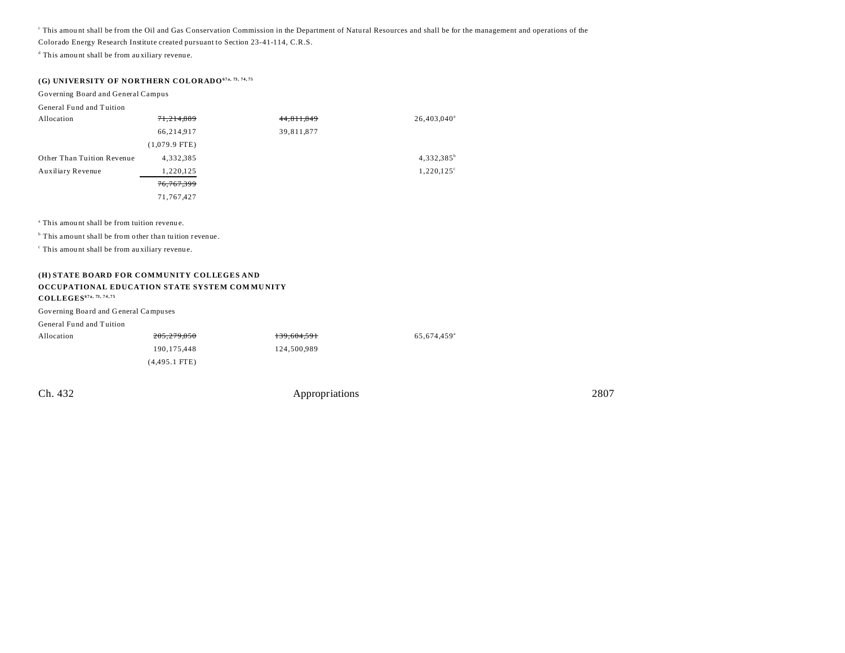This amount shall be from the Oil and Gas Conservation Commission in the Department of Natural Resources and shall be for the management and operations of the

Colorado Energy Research Institute created pursuant to Section 23-41-114, C.R.S.

d This amou nt shall be from au xiliary revenue.

### **(G) UNIVERSITY OF NORTHERN COLORADO67a, 73, 74, 75**

#### Governing Board and General Campus

General Fund and Tuition

| Allocation                 | 71,214,889      | 44,811,849 | $26,403,040^{\circ}$ |
|----------------------------|-----------------|------------|----------------------|
|                            | 66,214,917      | 39,811,877 |                      |
|                            | $(1,079.9$ FTE) |            |                      |
| Other Than Tuition Revenue | 4,332,385       |            | $4,332,385^b$        |
| Auxiliary Revenue          | 1,220,125       |            | $1,220,125^{\circ}$  |
|                            | 76,767,399      |            |                      |
|                            | 71,767,427      |            |                      |

a This amou nt shall be from tuition revenu e.

<sup>b</sup> This amount shall be from other than tuition revenue.

c This amou nt shall be from au xiliary revenue.

#### **(H) STATE BOARD FOR COMMUNITY COLLEGES AND OCCUPATIONAL EDUCATION STATE SYSTEM COM MU NITY COLLEGES67a, 73, 74, 75**

#### Governing Boa rd and G eneral Campu ses

| General Fund and Tuition |                 |             |                         |
|--------------------------|-----------------|-------------|-------------------------|
| Allocation               | 205,279,050     | 139,604,591 | 65.674.459 <sup>a</sup> |
|                          | 190.175.448     | 124,500,989 |                         |
|                          | $(4,495.1$ FTE) |             |                         |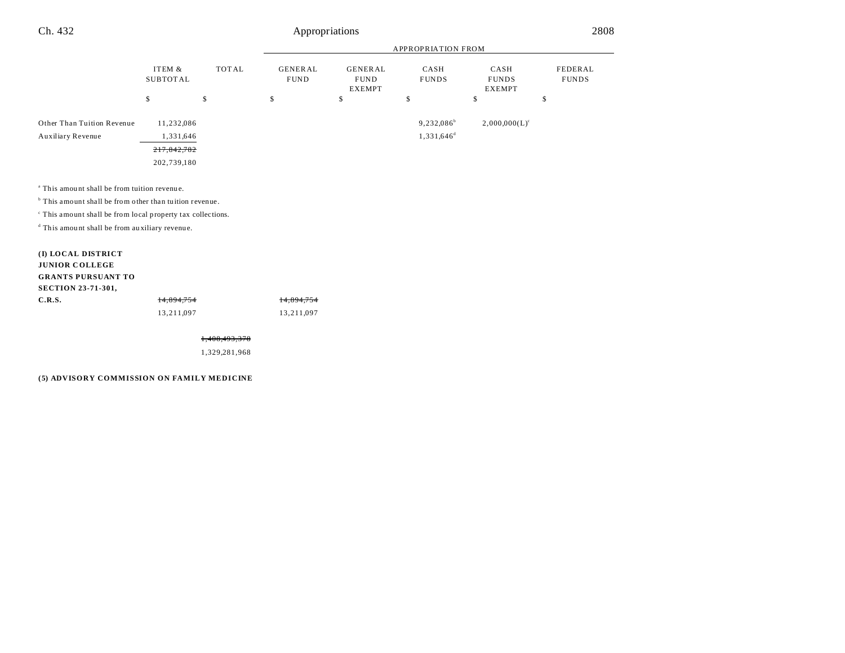|                                                                                                                                                                                                                                                                      |                            |              | <b>APPROPRIATION FROM</b>     |                                                |                                |                                       |                         |
|----------------------------------------------------------------------------------------------------------------------------------------------------------------------------------------------------------------------------------------------------------------------|----------------------------|--------------|-------------------------------|------------------------------------------------|--------------------------------|---------------------------------------|-------------------------|
|                                                                                                                                                                                                                                                                      | ITEM &<br><b>SUBTOTAL</b>  | <b>TOTAL</b> | <b>GENERAL</b><br><b>FUND</b> | <b>GENERAL</b><br><b>FUND</b><br><b>EXEMPT</b> | CASH<br><b>FUNDS</b>           | CASH<br><b>FUNDS</b><br><b>EXEMPT</b> | FEDERAL<br><b>FUNDS</b> |
|                                                                                                                                                                                                                                                                      | \$                         | \$           | \$                            | \$                                             | \$                             | \$                                    | \$                      |
| Other Than Tuition Revenue<br>Auxiliary Revenue                                                                                                                                                                                                                      | 11,232,086<br>1,331,646    |              |                               |                                                | $9,232,086^b$<br>$1,331,646^d$ | $2,000,000(L)^c$                      |                         |
|                                                                                                                                                                                                                                                                      | 217,842,782<br>202,739,180 |              |                               |                                                |                                |                                       |                         |
| <sup>a</sup> This amount shall be from tuition revenue.<br><sup>b</sup> This amount shall be from other than tuition revenue.<br><sup>c</sup> This amount shall be from local property tax collections.<br><sup>d</sup> This amount shall be from auxiliary revenue. |                            |              |                               |                                                |                                |                                       |                         |
| (I) LOCAL DISTRICT<br><b>JUNIOR COLLEGE</b><br><b>GRANTS PURSUANT TO</b><br><b>SECTION 23-71-301,</b>                                                                                                                                                                |                            |              |                               |                                                |                                |                                       |                         |
| C.R.S.                                                                                                                                                                                                                                                               | 14.894.754<br>13,211,097   |              | 14.894.754<br>13,211,097      |                                                |                                |                                       |                         |

1,408,493,378

1,329,281,968

#### **(5) ADVISORY COMMISSION ON FAMILY MEDICINE**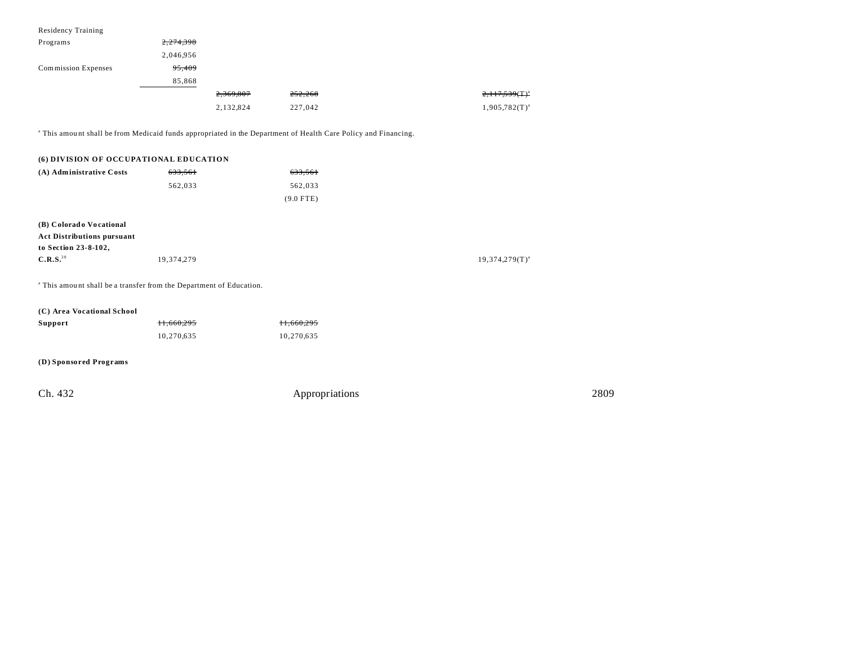| <b>Residency Training</b>              |                                                                                |                                                                                                                           |                       |
|----------------------------------------|--------------------------------------------------------------------------------|---------------------------------------------------------------------------------------------------------------------------|-----------------------|
| Programs                               | 2,274,398                                                                      |                                                                                                                           |                       |
|                                        | 2,046,956                                                                      |                                                                                                                           |                       |
| Commission Expenses                    | 95,409                                                                         |                                                                                                                           |                       |
|                                        | 85,868                                                                         |                                                                                                                           |                       |
|                                        | 2,369,807                                                                      | 252,268                                                                                                                   | $2,117,539$ $(T)^{a}$ |
|                                        | 2,132,824                                                                      | 227,042                                                                                                                   | $1,905,782(T)^{a}$    |
|                                        |                                                                                | <sup>a</sup> This amount shall be from Medicaid funds appropriated in the Department of Health Care Policy and Financing. |                       |
| (6) DIVISION OF OCCUPATIONAL EDUCATION |                                                                                |                                                                                                                           |                       |
| (A) Administrative Costs               | 633,561                                                                        | 633,561                                                                                                                   |                       |
|                                        | 562,033                                                                        | 562,033                                                                                                                   |                       |
|                                        |                                                                                | $(9.0$ FTE)                                                                                                               |                       |
| (B) Colorado Vocational                |                                                                                |                                                                                                                           |                       |
| <b>Act Distributions pursuant</b>      |                                                                                |                                                                                                                           |                       |
| to Section 23-8-102,                   |                                                                                |                                                                                                                           |                       |
| C.R.S. <sup>20</sup>                   | 19,374,279                                                                     |                                                                                                                           | $19,374,279(T)^{a}$   |
|                                        | <sup>a</sup> This amount shall be a transfer from the Department of Education. |                                                                                                                           |                       |
| (C) Area Vocational School             |                                                                                |                                                                                                                           |                       |
| Support                                | 11,660,295                                                                     | 11,660,295                                                                                                                |                       |
|                                        | 10,270,635                                                                     | 10,270,635                                                                                                                |                       |
| (D) Sponsored Programs                 |                                                                                |                                                                                                                           |                       |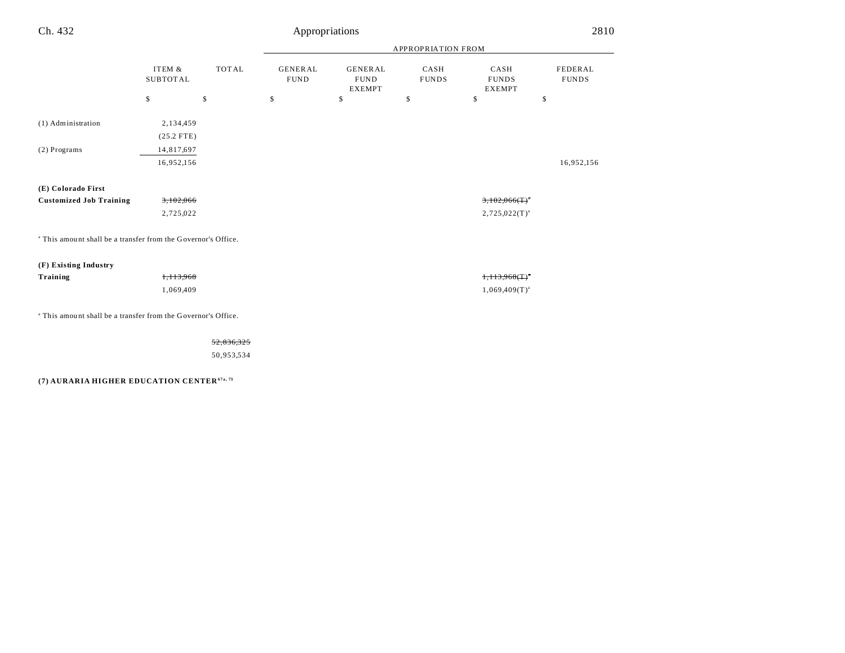| Ch. 432                                                                  |                           |              | 2810<br>Appropriations        |                                                |                      |                                               |                         |  |
|--------------------------------------------------------------------------|---------------------------|--------------|-------------------------------|------------------------------------------------|----------------------|-----------------------------------------------|-------------------------|--|
|                                                                          |                           |              |                               | APPROPRIATION FROM                             |                      |                                               |                         |  |
|                                                                          | ITEM &<br><b>SUBTOTAL</b> | <b>TOTAL</b> | <b>GENERAL</b><br><b>FUND</b> | <b>GENERAL</b><br><b>FUND</b><br><b>EXEMPT</b> | CASH<br><b>FUNDS</b> | CASH<br><b>FUNDS</b><br><b>EXEMPT</b>         | FEDERAL<br><b>FUNDS</b> |  |
|                                                                          | \$                        | \$           | \$                            | \$                                             | \$                   | \$                                            | \$                      |  |
| (1) Administration                                                       | 2,134,459<br>$(25.2$ FTE) |              |                               |                                                |                      |                                               |                         |  |
| (2) Programs                                                             | 14,817,697<br>16,952,156  |              |                               |                                                |                      |                                               | 16,952,156              |  |
| (E) Colorado First                                                       |                           |              |                               |                                                |                      |                                               |                         |  |
| <b>Customized Job Training</b>                                           | 3,102,066                 |              |                               |                                                |                      | $3,102,066($ T $)^{n}$                        |                         |  |
|                                                                          | 2,725,022                 |              |                               |                                                |                      | $2,725,022(T)^{a}$                            |                         |  |
| <sup>a</sup> This amount shall be a transfer from the Governor's Office. |                           |              |                               |                                                |                      |                                               |                         |  |
| (F) Existing Industry                                                    |                           |              |                               |                                                |                      |                                               |                         |  |
| Training                                                                 | 1,113,968                 |              |                               |                                                |                      | $1,113,968($ T) <sup><math>\circ</math></sup> |                         |  |
|                                                                          | 1,069,409                 |              |                               |                                                |                      | $1,069,409(T)^{a}$                            |                         |  |
|                                                                          |                           |              |                               |                                                |                      |                                               |                         |  |

<sup>a</sup> This amount shall be a transfer from the Governor's Office.

52,836,325

50,953,534

**(7) AURARIA HIGHER EDUCATION CENTER67a, 73**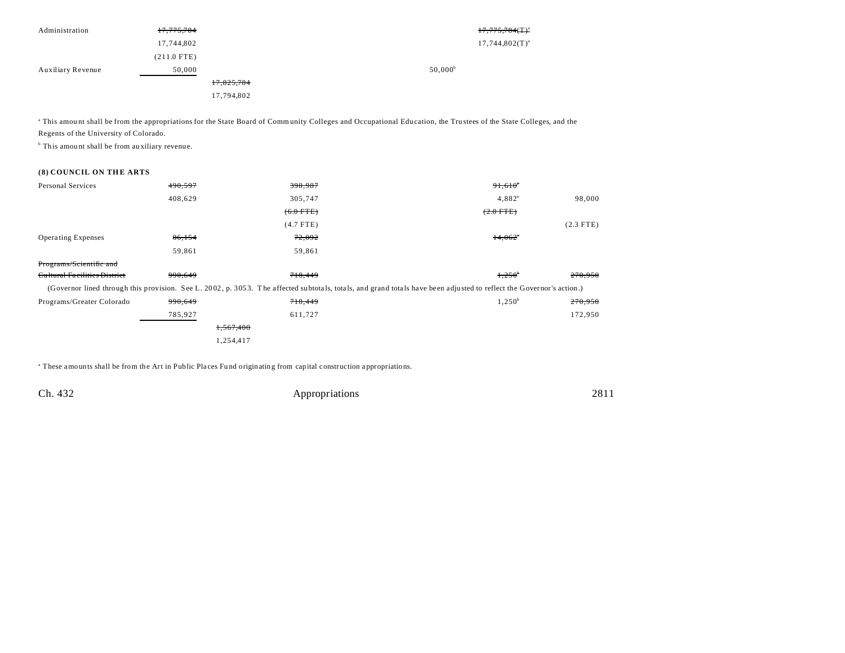| Administration    | 17,775,784    |            |                  | $17,775,784$ (T) <sup>a</sup> |
|-------------------|---------------|------------|------------------|-------------------------------|
|                   | 17,744,802    |            |                  | $17,744,802(T)^{a}$           |
|                   | $(211.0$ FTE) |            |                  |                               |
| Auxiliary Revenue | 50,000        |            | $50,000^{\circ}$ |                               |
|                   |               | 17,825,784 |                  |                               |
|                   |               | 17,794,802 |                  |                               |

<sup>a</sup> This amount shall be from the appropriations for the State Board of Community Colleges and Occupational Education, the Trustees of the State Colleges, and the Regents of the University of Colorado.

<sup>b</sup> This amount shall be from auxiliary revenue.

#### **(8) COUNCIL ON THE ARTS**

| 490,597                                                                                                                                                              | 398,987     | $91,610$ <sup>*</sup>  |             |  |
|----------------------------------------------------------------------------------------------------------------------------------------------------------------------|-------------|------------------------|-------------|--|
| 408,629                                                                                                                                                              | 305,747     | 4,882 <sup>a</sup>     | 98,000      |  |
|                                                                                                                                                                      | $(6.0$ FTE) | $(2.0$ FTE)            |             |  |
|                                                                                                                                                                      | $(4.7$ FTE) |                        | $(2.3$ FTE) |  |
| 86,154                                                                                                                                                               | 72,092      | $14,062$ <sup>*</sup>  |             |  |
| 59,861                                                                                                                                                               | 59,861      |                        |             |  |
|                                                                                                                                                                      |             |                        |             |  |
| 990.649                                                                                                                                                              | 718,449     | $1,250^{\circ}$        | 270,950     |  |
| (Governor lined through this provision. See L. 2002, p. 3053. The affected subtotals, totals, and grand totals have been adjusted to reflect the Governor's action.) |             |                        |             |  |
| 990,649                                                                                                                                                              | 718,449     | $1,250^b$              | 270,950     |  |
| 785,927                                                                                                                                                              | 611,727     |                        | 172,950     |  |
|                                                                                                                                                                      |             |                        |             |  |
|                                                                                                                                                                      |             |                        |             |  |
|                                                                                                                                                                      |             | 1,567,400<br>1,254,417 |             |  |

<sup>a</sup> These amounts shall be from the Art in Public Places Fund originating from capital construction appropriations.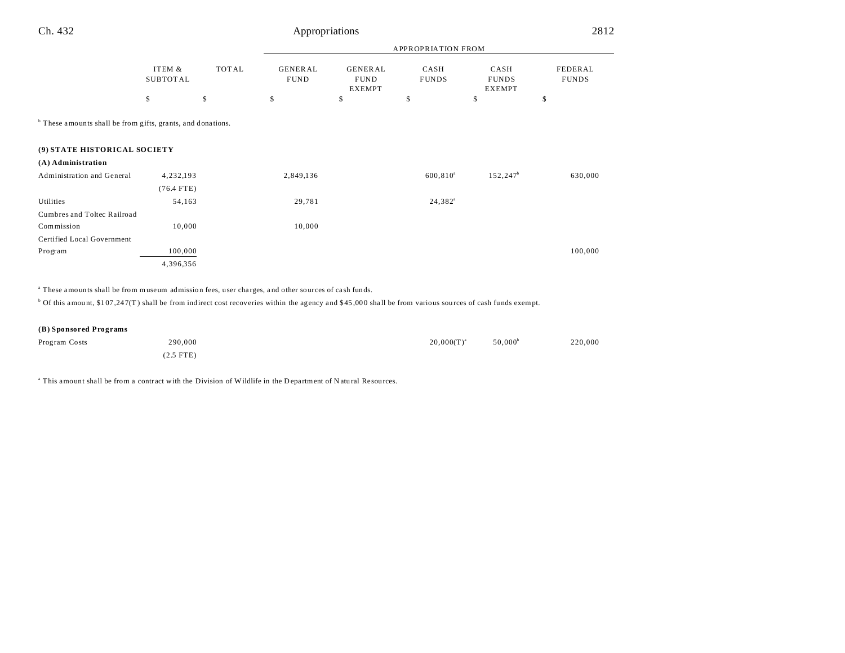| u<br>×<br>٩<br>× |  |  |
|------------------|--|--|
|------------------|--|--|

### Appropriations 2812

|                                                                        |                    |              | $\mathbf{r}$<br>$\overline{\phantom{a}}$ |                                                |                      |                                       |                         |  |
|------------------------------------------------------------------------|--------------------|--------------|------------------------------------------|------------------------------------------------|----------------------|---------------------------------------|-------------------------|--|
|                                                                        |                    |              | <b>APPROPRIATION FROM</b>                |                                                |                      |                                       |                         |  |
|                                                                        | ITEM &<br>SUBTOTAL | <b>TOTAL</b> | <b>GENERAL</b><br><b>FUND</b>            | <b>GENERAL</b><br><b>FUND</b><br><b>EXEMPT</b> | CASH<br><b>FUNDS</b> | CASH<br><b>FUNDS</b><br><b>EXEMPT</b> | FEDERAL<br><b>FUNDS</b> |  |
|                                                                        | \$                 | \$           | \$                                       | \$                                             | \$                   | \$                                    | \$                      |  |
| <sup>b</sup> These amounts shall be from gifts, grants, and donations. |                    |              |                                          |                                                |                      |                                       |                         |  |
| (9) STATE HISTORICAL SOCIETY                                           |                    |              |                                          |                                                |                      |                                       |                         |  |
| (A) Administration                                                     |                    |              |                                          |                                                |                      |                                       |                         |  |
| Administration and General                                             | 4,232,193          |              | 2,849,136                                |                                                | $600, 810^a$         | $152, 247$ <sup>b</sup>               | 630,000                 |  |
|                                                                        | $(76.4$ FTE)       |              |                                          |                                                |                      |                                       |                         |  |
| Utilities                                                              | 54,163             |              | 29,781                                   |                                                | $24,382^a$           |                                       |                         |  |
| Cumbres and Toltec Railroad                                            |                    |              |                                          |                                                |                      |                                       |                         |  |
| Commission                                                             | 10,000             |              | 10,000                                   |                                                |                      |                                       |                         |  |
| Certified Local Government                                             |                    |              |                                          |                                                |                      |                                       |                         |  |
| Program                                                                | 100,000            |              |                                          |                                                |                      |                                       | 100,000                 |  |
|                                                                        | 4,396,356          |              |                                          |                                                |                      |                                       |                         |  |
|                                                                        |                    |              |                                          |                                                |                      |                                       |                         |  |

<sup>a</sup> These amounts shall be from museum admission fees, user charges, and other sources of cash funds.

<sup>b</sup> Of this amount, \$107,247(T) shall be from indirect cost recoveries within the agency and \$45,000 shall be from various sources of cash funds exempt.

#### **(B) Sponsored Programs**

| Program Costs | 290,000     | $20.000(T)^{a}$ | $50.000^{\circ}$ | 220,000 |
|---------------|-------------|-----------------|------------------|---------|
|               | $(2.5$ FTE) |                 |                  |         |

<sup>a</sup> This amount shall be from a contract with the Division of Wildlife in the Department of Natural Resources.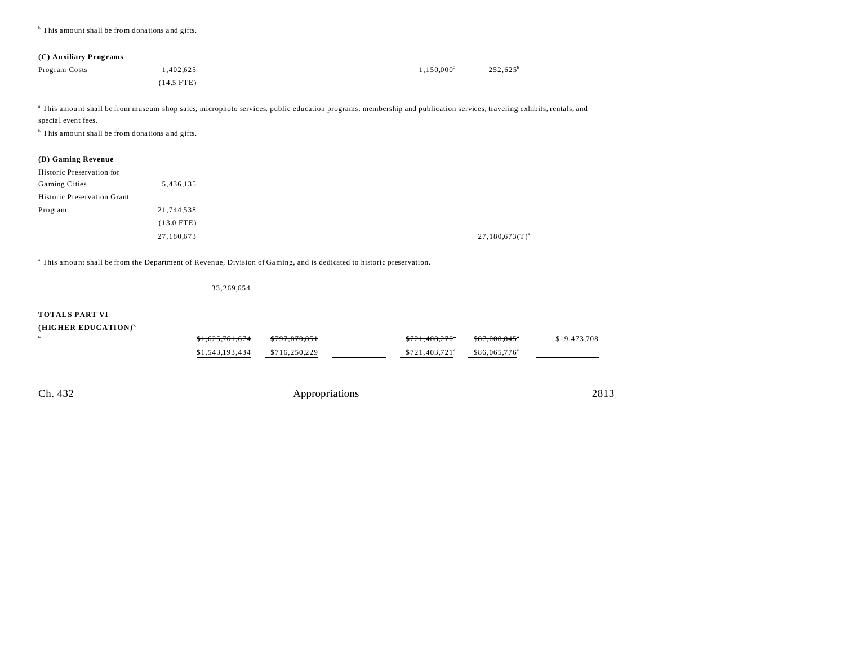<sup>b</sup> This amount shall be from donations and gifts.

#### **(C) Auxiliary Programs**

| Program Costs | 1,402,625    | $1,150,000^{\rm a}$ | 252,625 <sup>b</sup> |
|---------------|--------------|---------------------|----------------------|
|               | $(14.5$ FTE) |                     |                      |

a This amou nt shall be from museum shop sales, microphoto services, public education programs, membership and publication services, traveling exhibits, rentals, and special event fees.

<sup>b</sup> This amount shall be from donations and gifts.

#### **(D) Gaming Revenue**

| Historic Preservation for   |              |
|-----------------------------|--------------|
| Gaming Cities               | 5,436,135    |
| Historic Preservation Grant |              |
| Program                     | 21,744,538   |
|                             | $(13.0$ FTE) |
|                             | 27,180,673   |

a This amou nt shall be from the Department of Revenue, Division of Gaming, and is dedicated to historic preservation.

33,269,654

#### **TOTALS PART VI**

#### **(HIGHER EDUCATION)5,**

| 6 | <del>\$1,625,761,674</del> | \$797,870,851 | \$721,408,270               | \$87,008,845"             | \$19,473,708 |
|---|----------------------------|---------------|-----------------------------|---------------------------|--------------|
|   | \$1,543,193,434            | \$716,250,229 | $$721.403.721$ <sup>a</sup> | \$86,065,776 <sup>a</sup> |              |
|   |                            |               |                             |                           |              |
|   |                            |               |                             |                           |              |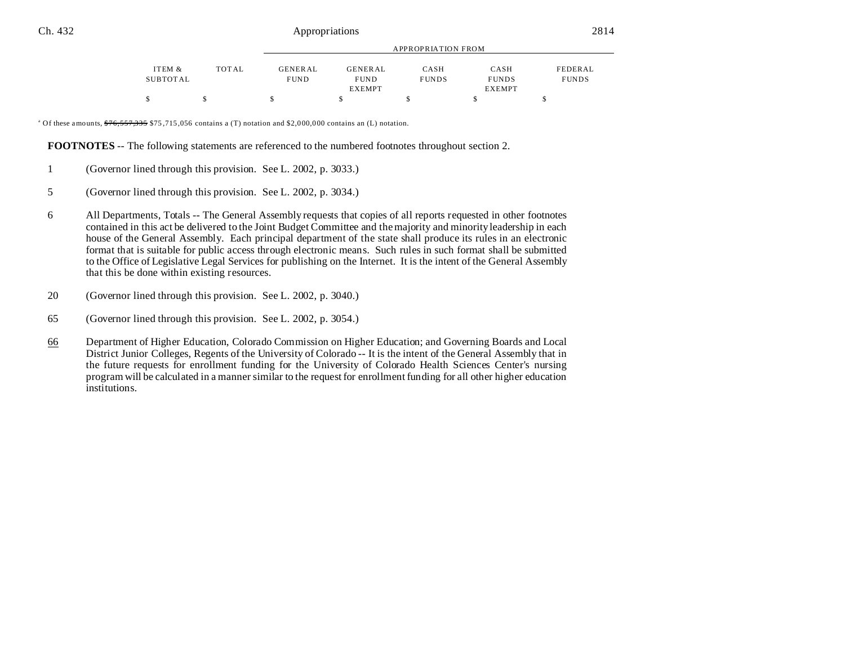|          |       |                |                | APPROPRIATION FROM |               |              |
|----------|-------|----------------|----------------|--------------------|---------------|--------------|
| ITEM &   | TOTAL | <b>GENERAL</b> | <b>GENERAL</b> | CASH               | CASH          | FEDERAL      |
| SUBTOTAL |       | <b>FUND</b>    | <b>FUND</b>    | <b>FUNDS</b>       | <b>FUNDS</b>  | <b>FUNDS</b> |
|          |       |                | <b>EXEMPT</b>  |                    | <b>EXEMPT</b> |              |
|          |       | S              |                |                    |               |              |

<sup>a</sup> Of these amounts,  $\frac{676}{557,335}$  \$75,715,056 contains a (T) notation and \$2,000,000 contains an (L) notation.

**FOOTNOTES** -- The following statements are referenced to the numbered footnotes throughout section 2.

- 1 (Governor lined through this provision. See L. 2002, p. 3033.)
- 5 (Governor lined through this provision. See L. 2002, p. 3034.)
- 6 All Departments, Totals -- The General Assembly requests that copies of all reports requested in other footnotes contained in this act be delivered to the Joint Budget Committee and the majority and minority leadership in each house of the General Assembly. Each principal department of the state shall produce its rules in an electronic format that is suitable for public access through electronic means. Such rules in such format shall be submitted to the Office of Legislative Legal Services for publishing on the Internet. It is the intent of the General Assembly that this be done within existing resources.
- 20 (Governor lined through this provision. See L. 2002, p. 3040.)
- 65 (Governor lined through this provision. See L. 2002, p. 3054.)
- 66 Department of Higher Education, Colorado Commission on Higher Education; and Governing Boards and Local District Junior Colleges, Regents of the University of Colorado -- It is the intent of the General Assembly that in the future requests for enrollment funding for the University of Colorado Health Sciences Center's nursing program will be calculated in a manner similar to the request for enrollment funding for all other higher education institutions.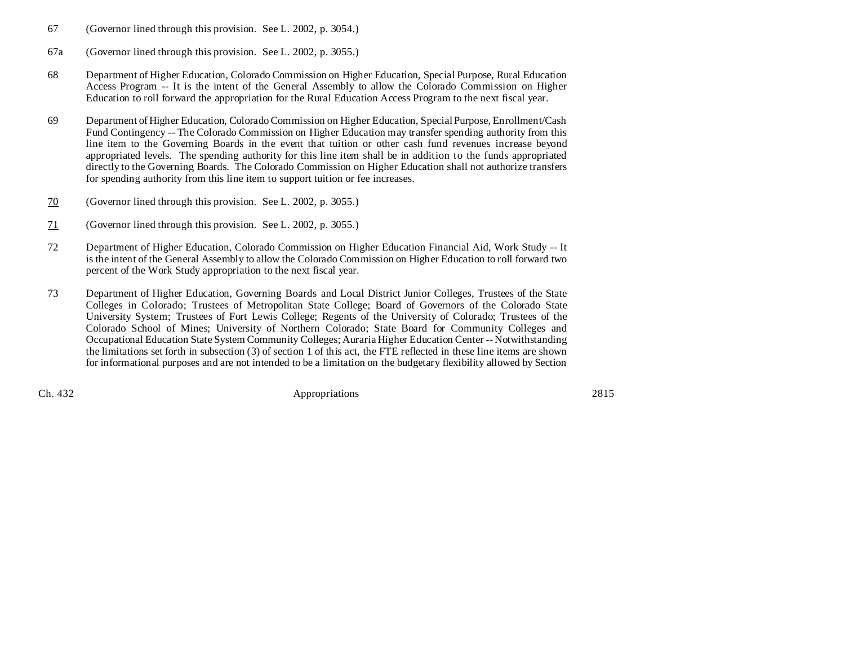- 67 (Governor lined through this provision. See L. 2002, p. 3054.)
- 67a (Governor lined through this provision. See L. 2002, p. 3055.)
- 68 Department of Higher Education, Colorado Commission on Higher Education, Special Purpose, Rural Education Access Program -- It is the intent of the General Assembly to allow the Colorado Commission on Higher Education to roll forward the appropriation for the Rural Education Access Program to the next fiscal year.
- 69 Department of Higher Education, Colorado Commission on Higher Education, Special Purpose, Enrollment/Cash Fund Contingency -- The Colorado Commission on Higher Education may transfer spending authority from this line item to the Governing Boards in the event that tuition or other cash fund revenues increase beyond appropriated levels. The spending authority for this line item shall be in addition to the funds appropriated directly to the Governing Boards. The Colorado Commission on Higher Education shall not authorize transfers for spending authority from this line item to support tuition or fee increases.
- 70 (Governor lined through this provision. See L. 2002, p. 3055.)
- 71 (Governor lined through this provision. See L. 2002, p. 3055.)
- 72 Department of Higher Education, Colorado Commission on Higher Education Financial Aid, Work Study -- It is the intent of the General Assembly to allow the Colorado Commission on Higher Education to roll forward two percent of the Work Study appropriation to the next fiscal year.
- 73 Department of Higher Education, Governing Boards and Local District Junior Colleges, Trustees of the State Colleges in Colorado; Trustees of Metropolitan State College; Board of Governors of the Colorado State University System; Trustees of Fort Lewis College; Regents of the University of Colorado; Trustees of the Colorado School of Mines; University of Northern Colorado; State Board for Community Colleges and Occupational Education State System Community Colleges; Auraria Higher Education Center -- Notwithstanding the limitations set forth in subsection (3) of section 1 of this act, the FTE reflected in these line items are shown for informational purposes and are not intended to be a limitation on the budgetary flexibility allowed by Section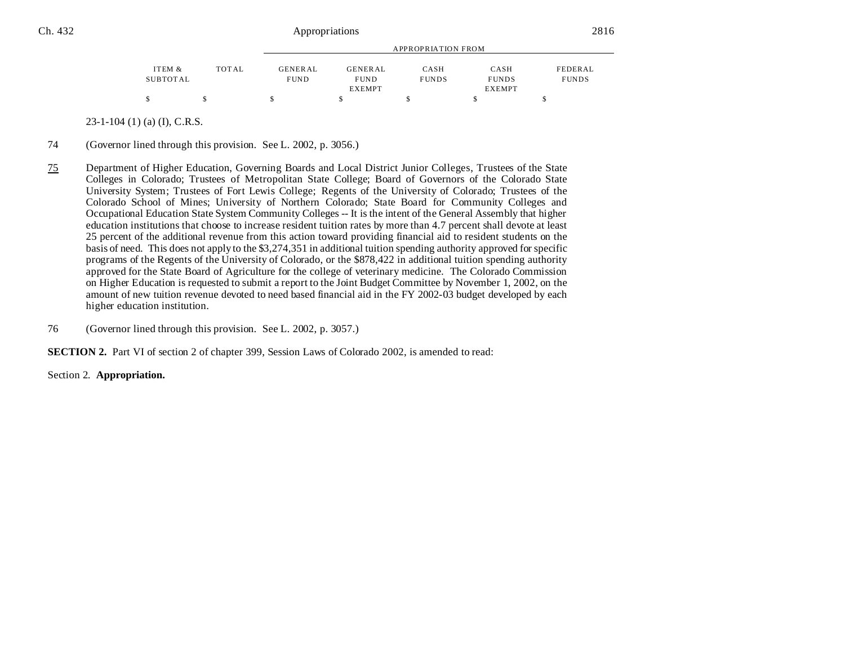| APPROPRIATION FROM |  |  |  |  |  |
|--------------------|--|--|--|--|--|
| FEDERAL            |  |  |  |  |  |
| <b>FUNDS</b>       |  |  |  |  |  |
|                    |  |  |  |  |  |
|                    |  |  |  |  |  |
|                    |  |  |  |  |  |

23-1-104 (1) (a) (I), C.R.S.

- 74 (Governor lined through this provision. See L. 2002, p. 3056.)
- 75 Department of Higher Education, Governing Boards and Local District Junior Colleges, Trustees of the State Colleges in Colorado; Trustees of Metropolitan State College; Board of Governors of the Colorado State University System; Trustees of Fort Lewis College; Regents of the University of Colorado; Trustees of the Colorado School of Mines; University of Northern Colorado; State Board for Community Colleges and Occupational Education State System Community Colleges -- It is the intent of the General Assembly that higher education institutions that choose to increase resident tuition rates by more than 4.7 percent shall devote at least 25 percent of the additional revenue from this action toward providing financial aid to resident students on the basis of need. This does not apply to the \$3,274,351 in additional tuition spending authority approved for specific programs of the Regents of the University of Colorado, or the \$878,422 in additional tuition spending authority approved for the State Board of Agriculture for the college of veterinary medicine. The Colorado Commission on Higher Education is requested to submit a report to the Joint Budget Committee by November 1, 2002, on the amount of new tuition revenue devoted to need based financial aid in the FY 2002-03 budget developed by each higher education institution.
- 76 (Governor lined through this provision. See L. 2002, p. 3057.)

**SECTION 2.** Part VI of section 2 of chapter 399, Session Laws of Colorado 2002, is amended to read:

Section 2. **Appropriation.**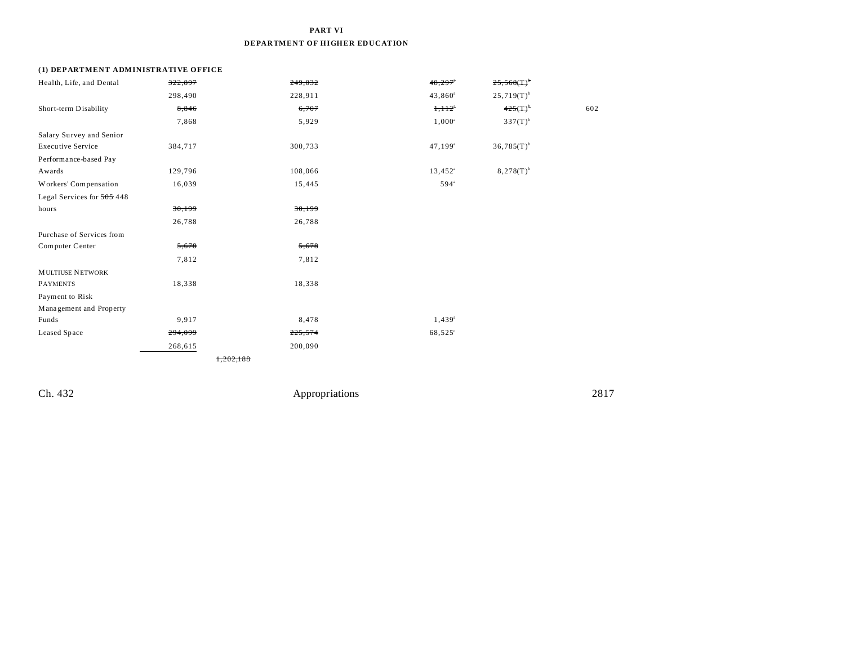### **PART VI DEPARTMENT OF HIGHER EDUCATION**

#### **(1) DEPARTMENT ADMINISTRATIVE OFFICE**

| Health, Life, and Dental   | 322,897 | 249,032             | $48,297$ <sup>*</sup> | $25,568($ T $)^{6}$      |     |
|----------------------------|---------|---------------------|-----------------------|--------------------------|-----|
|                            | 298,490 | 228,911             | $43,860^a$            | $25,719(T)$ <sup>b</sup> |     |
| Short-term Disability      | 8,846   | 6,707               | $1,112$ <sup>*</sup>  | $425(T)^{b}$             | 602 |
|                            | 7,868   | 5,929               | $1,000^a$             | $337(T)^{b}$             |     |
| Salary Survey and Senior   |         |                     |                       |                          |     |
| <b>Executive Service</b>   | 384,717 | 300,733             | $47,199^{\rm a}$      | $36,785(T)$ <sup>b</sup> |     |
| Performance-based Pay      |         |                     |                       |                          |     |
| Awards                     | 129,796 | 108,066             | $13,452^{\rm a}$      | $8,278(T)^{b}$           |     |
| Workers' Compensation      | 16,039  | 15,445              | $594^{\mathrm{a}}$    |                          |     |
| Legal Services for 505 448 |         |                     |                       |                          |     |
| hours                      | 30,199  | 30,199              |                       |                          |     |
|                            | 26,788  | 26,788              |                       |                          |     |
| Purchase of Services from  |         |                     |                       |                          |     |
| Computer Center            | 5,678   | 5,678               |                       |                          |     |
|                            | 7,812   | 7,812               |                       |                          |     |
| <b>MULTIUSE NETWORK</b>    |         |                     |                       |                          |     |
| <b>PAYMENTS</b>            | 18,338  | 18,338              |                       |                          |     |
| Payment to Risk            |         |                     |                       |                          |     |
| Management and Property    |         |                     |                       |                          |     |
| Funds                      | 9,917   | 8,478               | $1,439^a$             |                          |     |
| Leased Space               | 294,099 | 225,574             | 68,525°               |                          |     |
|                            | 268,615 | 200,090             |                       |                          |     |
|                            |         | <del>.202.188</del> |                       |                          |     |
|                            |         |                     |                       |                          |     |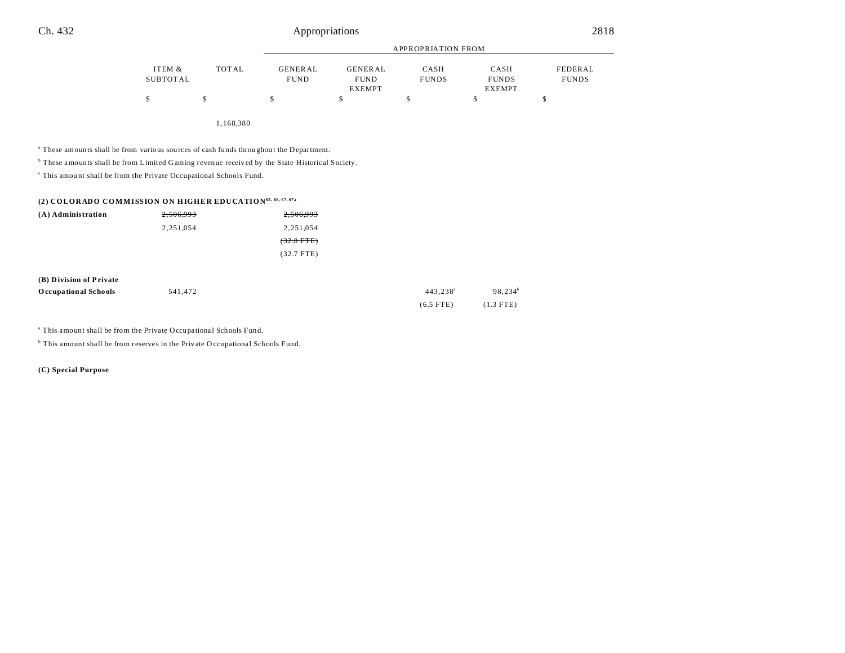|          |              |                |                | APPROPRIATION FROM |               |              |
|----------|--------------|----------------|----------------|--------------------|---------------|--------------|
| ITEM &   | <b>TOTAL</b> | <b>GENERAL</b> | <b>GENERAL</b> | CASH               | CASH          | FEDERAL      |
| SUBTOTAL |              | <b>FUND</b>    | <b>FUND</b>    | <b>FUNDS</b>       | <b>FUNDS</b>  | <b>FUNDS</b> |
|          |              |                | <b>EXEMPT</b>  |                    | <b>EXEMPT</b> |              |
|          |              | $\mathcal{L}$  |                |                    |               |              |

1,168,380

<sup>a</sup> These amounts shall be from various sources of cash funds throughout the Department.

<sup>b</sup> These amounts shall be from Limited Gaming revenue received by the State Historical Society.

c This amou nt shall be from the Private Occupational Schools Fund.

#### **(2) COLORADO COMMISSION ON HIGHER EDUCATION65, 66, 67, 67a**

| (A) Administration | 2,506,993 | 2,506,993    |
|--------------------|-----------|--------------|
|                    | 2,251,054 | 2,251,054    |
|                    |           | $(32.8$ FTE) |
|                    |           | $(32.7$ FTE) |

| (B) Division of Private     |         |                      |                       |
|-----------------------------|---------|----------------------|-----------------------|
| <b>Occupational Schools</b> | 541.472 | 443.238 <sup>a</sup> | $98.234$ <sup>t</sup> |
|                             |         | $(6.5$ FTE)          | $(1.3$ FTE)           |

<sup>a</sup> This amount shall be from the Private Occupational Schools Fund.

<sup>b</sup> This amount shall be from reserves in the Private O ccupational Schools Fund.

**(C) Special Purpose**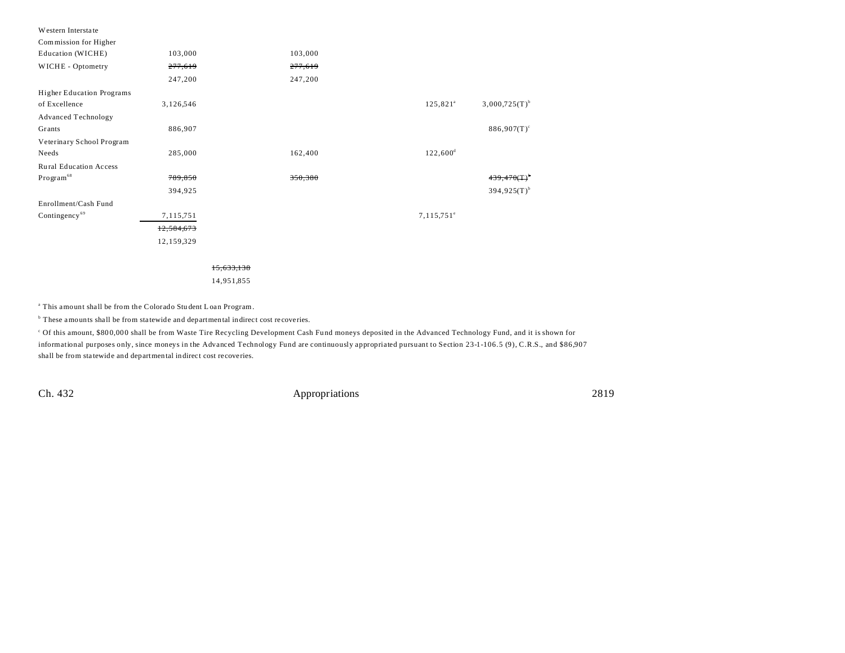| Western Interstate               |            |            |         |                          |                           |
|----------------------------------|------------|------------|---------|--------------------------|---------------------------|
| Commission for Higher            |            |            |         |                          |                           |
| Education (WICHE)                | 103,000    |            | 103,000 |                          |                           |
| WICHE - Optometry                | 277,619    |            | 277,619 |                          |                           |
|                                  | 247,200    |            | 247,200 |                          |                           |
| <b>Higher Education Programs</b> |            |            |         |                          |                           |
| of Excellence                    | 3,126,546  |            |         | $125,821^{\circ}$        | $3,000,725(T)^{b}$        |
| <b>Advanced Technology</b>       |            |            |         |                          |                           |
| Grants                           | 886,907    |            |         |                          | $886,907(T)^c$            |
| Veterinary School Program        |            |            |         |                          |                           |
| Needs                            | 285,000    |            | 162,400 | $122,600^{\rm d}$        |                           |
| Rural Education Access           |            |            |         |                          |                           |
| Program <sup>68</sup>            | 789,850    |            | 350,380 |                          | $439,470($ T              |
|                                  | 394,925    |            |         |                          | $394,925(T)$ <sup>b</sup> |
| Enrollment/Cash Fund             |            |            |         |                          |                           |
| Contingency <sup>69</sup>        | 7,115,751  |            |         | $7,115,751$ <sup>e</sup> |                           |
|                                  | 12,584,673 |            |         |                          |                           |
|                                  | 12,159,329 |            |         |                          |                           |
|                                  |            |            |         |                          |                           |
|                                  |            | 15,633,138 |         |                          |                           |
|                                  |            | 14,951,855 |         |                          |                           |

<sup>a</sup> This amount shall be from the Colorado Student Loan Program.

<sup>b</sup> These amounts shall be from statewide and departmental indirect cost recoveries.

<sup>c</sup> Of this amount, \$80 0,00 0 shall be from Waste Tire Recycling Development Cash Fu nd moneys deposited in the Advanced Technology Fund, and it is shown for informational purposes only, since moneys in the Advanced Technology Fund are continuously appropriated pursuant to Section 23-1-106.5 (9), C.R.S., and \$86,907 shall be from sta tewide and departmental indirect cost recoveries.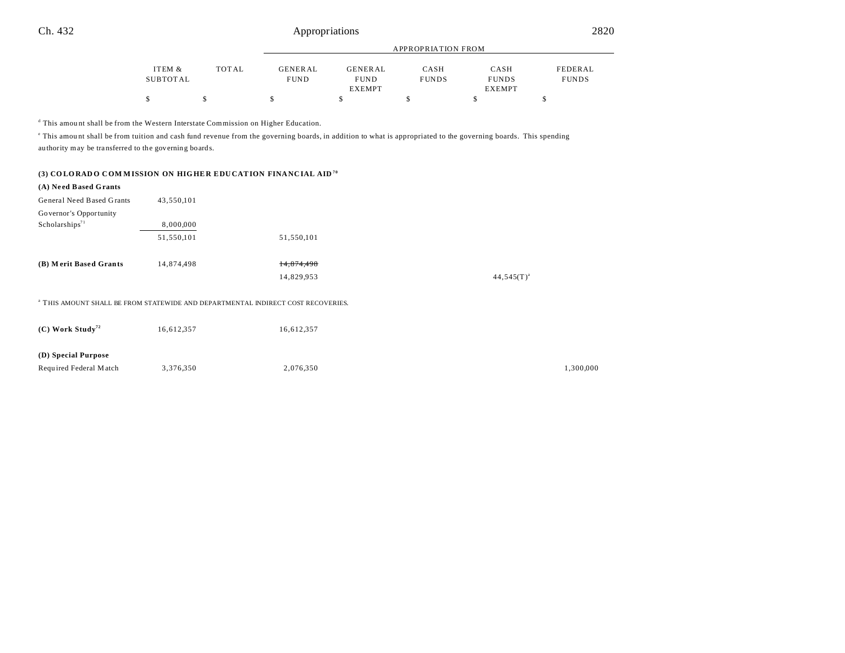|          |              |                | <b>APPROPRIATION FROM</b> |              |               |              |  |
|----------|--------------|----------------|---------------------------|--------------|---------------|--------------|--|
|          |              |                |                           |              |               |              |  |
| ITEM &   | <b>TOTAL</b> | <b>GENERAL</b> | GENERAL                   | CASH         | CASH          | FEDERAL      |  |
| SUBTOTAL |              | <b>FUND</b>    | <b>FUND</b>               | <b>FUNDS</b> | <b>FUNDS</b>  | <b>FUNDS</b> |  |
|          |              |                | <b>EXEMPT</b>             |              | <b>EXEMPT</b> |              |  |
|          |              |                |                           |              |               |              |  |

<sup>d</sup> This amount shall be from the Western Interstate Commission on Higher Education.

This amount shall be from tuition and cash fund revenue from the governing boards, in addition to what is appropriated to the governing boards. This spending au thority may be tra nsferred to the governing boards.

|  |  | (3) COLORADO COMMISSION ON HIGHER EDUCATION FINANCIAL AID <sup>70</sup> |
|--|--|-------------------------------------------------------------------------|
|  |  |                                                                         |

| (A) Need Based Grants          |            |                                                                                             |                 |
|--------------------------------|------------|---------------------------------------------------------------------------------------------|-----------------|
| General Need Based Grants      | 43,550,101 |                                                                                             |                 |
| Governor's Opportunity         |            |                                                                                             |                 |
| Scholarships <sup>71</sup>     | 8,000,000  |                                                                                             |                 |
|                                | 51,550,101 | 51,550,101                                                                                  |                 |
|                                |            |                                                                                             |                 |
| (B) Merit Based Grants         | 14,874,498 | 14,874,498                                                                                  |                 |
|                                |            | 14,829,953                                                                                  | $44,545(T)^{a}$ |
|                                |            |                                                                                             |                 |
|                                |            | <sup>a</sup> THIS AMOUNT SHALL BE FROM STATEWIDE AND DEPARTMENTAL INDIRECT COST RECOVERIES. |                 |
|                                |            |                                                                                             |                 |
| $(C)$ Work Study <sup>72</sup> | 16,612,357 | 16,612,357                                                                                  |                 |
|                                |            |                                                                                             |                 |
| (D) Special Purpose            |            |                                                                                             |                 |
| Required Federal Match         | 3,376,350  | 2,076,350                                                                                   | 1,300,000       |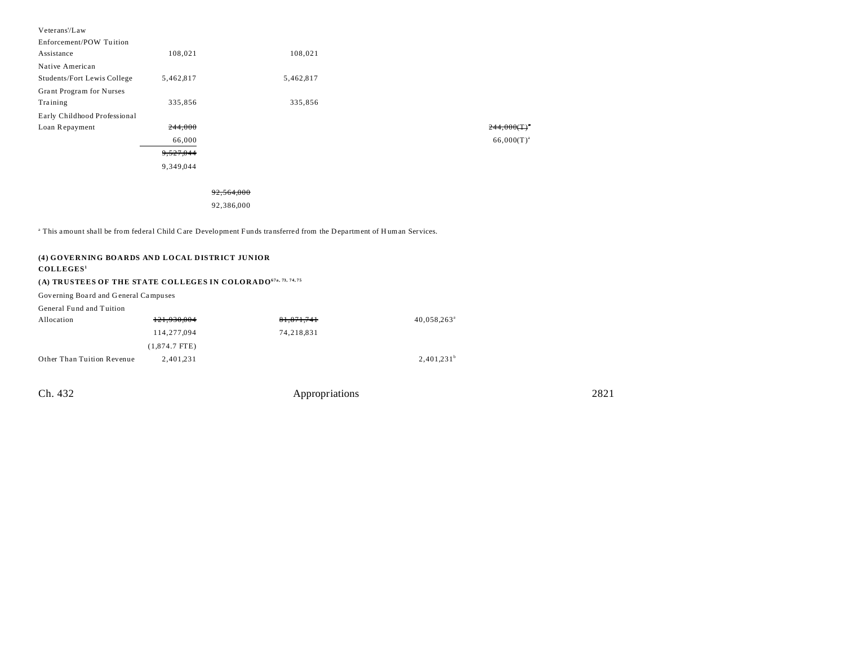| Veterans'/Law                |           |           |
|------------------------------|-----------|-----------|
| Enforcement/POW Tuition      |           |           |
| Assistance                   | 108,021   | 108,021   |
| Native American              |           |           |
| Students/Fort Lewis College  | 5,462,817 | 5,462,817 |
| Grant Program for Nurses     |           |           |
| Training                     | 335,856   | 335,856   |
| Early Childhood Professional |           |           |
| Loan Repayment               | 244,000   |           |
|                              | 66,000    |           |
|                              | 9,527,044 |           |
|                              | 9,349,044 |           |
|                              |           |           |

#### 92,564,000

92,386,000

<sup>a</sup> This amount shall be from federal Child Care Development Funds transferred from the Department of Human Services.

### **(4) GOVERNING BOARDS AND LOCAL DISTRICT JUNIOR COLLEGES<sup>1</sup> (A) TRUSTEES OF THE STATE COLLEGES IN COLORADO67a, 73, 74, 75** Governing Boa rd and G eneral Campu ses

General Fund and Tuition

| Allocation                 | 121,930,004     | 81.871.741 | $40,058,263^{\circ}$ |
|----------------------------|-----------------|------------|----------------------|
|                            | 114,277,094     | 74.218.831 |                      |
|                            | $(1.874.7$ FTE) |            |                      |
| Other Than Tuition Revenue | 2.401.231       |            | $2,401,231^b$        |

| Ch. 432 | Appropriations | 2821 |
|---------|----------------|------|
|         |                |      |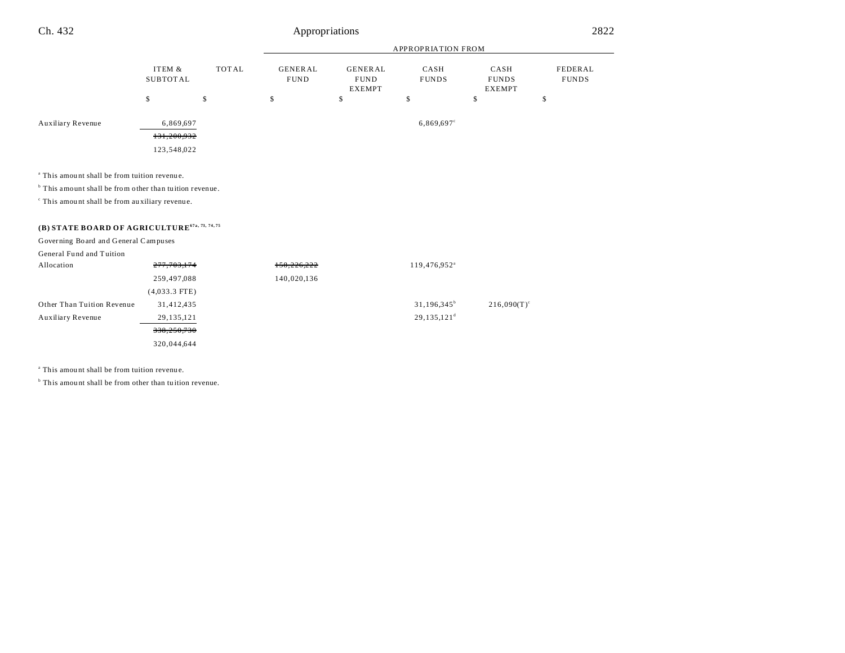#### APPROPRIATION FROM ITEM & SUBTOT AL TOT AL GENER AL FUND GENER AL FUND EXEMPT CASH FUNDS CASH FUNDS EXEMPT FEDERAL FUNDS  $\begin{array}{ccccccccccc} \text{\$} & & & \text{\$} & & & \text{\$} & & \text{\$} & & \text{\$} & & \text{\$} & \text{\$} & \text{\$} & \text{\$} & \text{\$} & \text{\$} & \text{\$} & \text{\$} & \text{\$} & \text{\$} & \text{\$} & \text{\$} & \text{\$} & \text{\$} & \text{\$} & \text{\$} & \text{\$} & \text{\$} & \text{\$} & \text{\$} & \text{\$} & \text{\$} & \text{\$} & \text{\$} & \text{\$} & \text{\$} & \text{\$} & \text{\$} & \text{\$} &$ Ch. 432 Appropriations 2822 Auxiliary Revenue  $6,869,697$  6,869,697<sup>c</sup> 131,200,932 123,548,022

a This amou nt shall be from tuition revenu e.

<sup>b</sup> This amount shall be from other than tuition revenue.

c This amou nt shall be from au xiliary revenue.

### **(B) STATE BOARD OF AGRICULTURE67a, 73, 74, 75**

Governing Board and General Campuses

| General Fund and Tuition   |                 |             |                          |                      |
|----------------------------|-----------------|-------------|--------------------------|----------------------|
| Allocation                 | 277, 703, 174   | 158,226,222 | 119,476,952 <sup>a</sup> |                      |
|                            | 259,497,088     | 140,020,136 |                          |                      |
|                            | $(4,033.3$ FTE) |             |                          |                      |
| Other Than Tuition Revenue | 31,412,435      |             | $31,196,345^b$           | $216,090(T)^{\circ}$ |
| Auxiliary Revenue          | 29, 135, 121    |             | $29,135,121^d$           |                      |
|                            | 338,250,730     |             |                          |                      |
|                            | 320,044,644     |             |                          |                      |
|                            |                 |             |                          |                      |

a This amou nt shall be from tuition revenu e.

<sup>b</sup> This amount shall be from other than tuition revenue.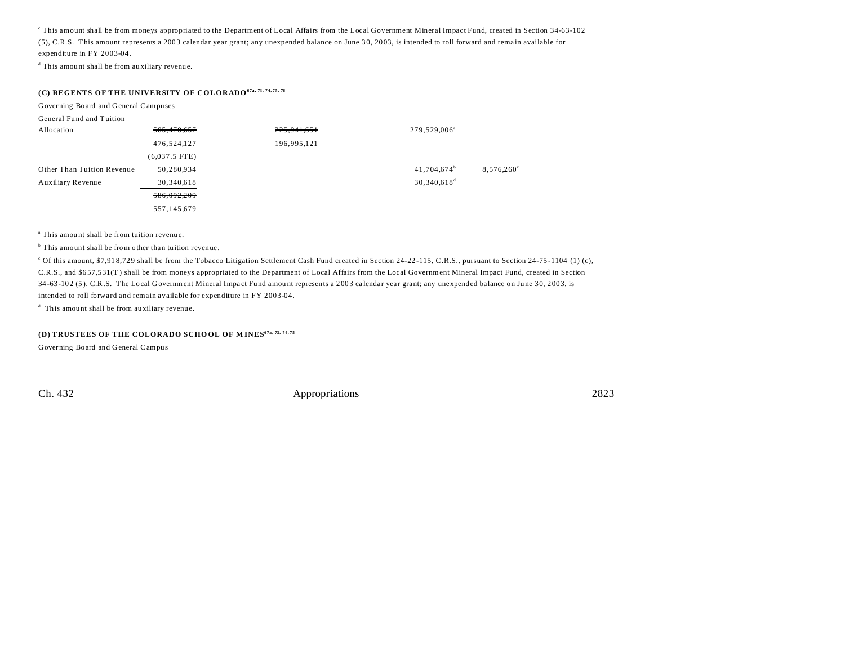c This amount shall be from moneys appropriated to the Department of Local Affairs from the Local Government Mineral Impact Fund, created in Section 34-63-102 (5), C.R.S. This amount represents a 200 3 calendar year grant; any unexpended balance on June 3 0, 20 03, is intended to roll forward and rema in available for expenditure in FY 2003-04.

d This amou nt shall be from au xiliary revenue.

### **(C) REGENTS OF THE UNIVERSITY OF COLORADO67a, 73, 74, 75, 76**

Governing Board and General Campuses

| General Fund and Tuition   |                 |               |                          |                     |
|----------------------------|-----------------|---------------|--------------------------|---------------------|
| Allocation                 | 505,470,657     | 225, 941, 651 | 279,529,006 <sup>a</sup> |                     |
|                            | 476,524,127     | 196,995,121   |                          |                     |
|                            | $(6,037.5$ FTE) |               |                          |                     |
| Other Than Tuition Revenue | 50,280,934      |               | $41,704,674^b$           | $8,576,260^{\circ}$ |
| Auxiliary Revenue          | 30,340,618      |               | $30,340,618^d$           |                     |
|                            | 586.092.209     |               |                          |                     |
|                            | 557,145,679     |               |                          |                     |

a This amou nt shall be from tuition revenu e.

<sup>b</sup> This amount shall be from other than tuition revenue.

<sup>c</sup> Of this amount, \$7,918,729 shall be from the Tobacco Litigation Settlement Cash Fund created in Section 24-22-115, C.R.S., pursuant to Section 24-75-1104 (1) (c), C.R.S., and \$6 57,5 31(T ) shall be from moneys appropriated to the Department of Local Affairs from the Local Government Mineral Impact Fund, created in Section 34-63-102 (5), C.R.S. The Local Government Mineral Impact Fund amount represents a 2003 calendar year grant; any unexpended balance on June 30, 2003, is intended to roll forward and remain available for expenditure in FY 2003-04.

d This amou nt shall be from au xiliary revenue.

#### **(D) TRUSTEES OF THE COLORADO SCHOOL OF MINES<sup>67a, 73, 74, 75</sub>**</sup>

Governing Board and General Campus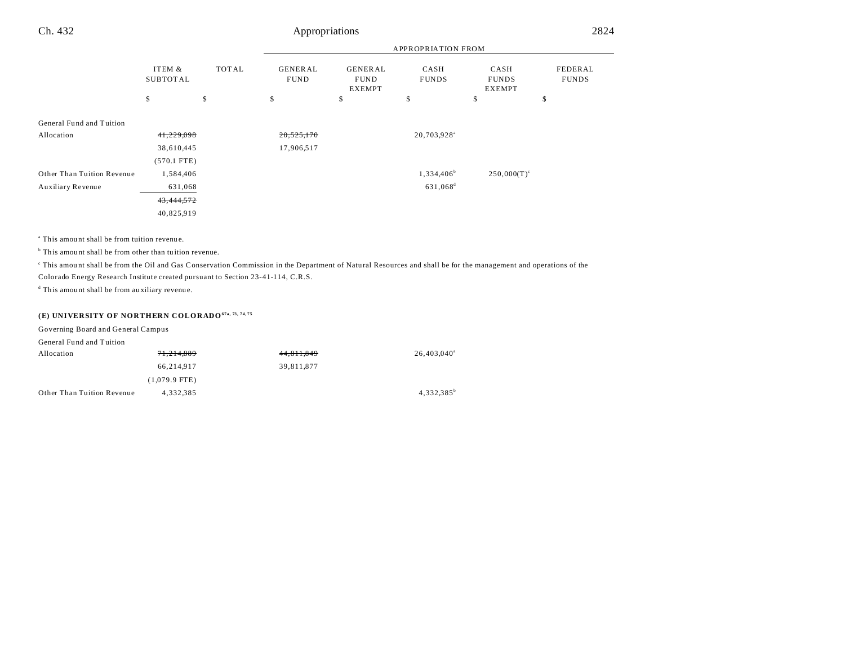| Ch. 432                    |                           |              | Appropriations                |                                                |                         |                                       | 2824                    |  |
|----------------------------|---------------------------|--------------|-------------------------------|------------------------------------------------|-------------------------|---------------------------------------|-------------------------|--|
|                            |                           |              |                               |                                                |                         |                                       |                         |  |
|                            | ITEM &<br><b>SUBTOTAL</b> | <b>TOTAL</b> | <b>GENERAL</b><br><b>FUND</b> | <b>GENERAL</b><br><b>FUND</b><br><b>EXEMPT</b> | CASH<br><b>FUNDS</b>    | CASH<br><b>FUNDS</b><br><b>EXEMPT</b> | FEDERAL<br><b>FUNDS</b> |  |
|                            | \$                        | \$           | \$                            | \$<br>\$<br>\$<br>\$                           |                         |                                       |                         |  |
| General Fund and Tuition   |                           |              |                               |                                                |                         |                                       |                         |  |
| Allocation                 | 41,229,098                |              | 20,525,170                    |                                                | 20,703,928 <sup>a</sup> |                                       |                         |  |
|                            | 38,610,445                |              | 17,906,517                    |                                                |                         |                                       |                         |  |
|                            | $(570.1$ FTE)             |              |                               |                                                |                         |                                       |                         |  |
| Other Than Tuition Revenue | 1,584,406                 |              |                               |                                                | 1,334,406 <sup>b</sup>  | $250,000(T)^c$                        |                         |  |
| Auxiliary Revenue          | 631,068                   |              |                               |                                                | 631,068 <sup>d</sup>    |                                       |                         |  |
|                            | 43,444,572                |              |                               |                                                |                         |                                       |                         |  |
|                            | 40,825,919                |              |                               |                                                |                         |                                       |                         |  |

a This amou nt shall be from tuition revenu e.

<sup>b</sup> This amount shall be from other than tuition revenue.

This amount shall be from the Oil and Gas Conservation Commission in the Department of Natural Resources and shall be for the management and operations of the Colorado Energy Research Institute created pursuant to Section 23-41-114, C.R.S.

d This amou nt shall be from au xiliary revenue.

### **(E) UNIVERSITY OF NORTHERN COLORADO67a, 73, 74, 75**

| Governing Board and General Campus |                 |            |                      |
|------------------------------------|-----------------|------------|----------------------|
| General Fund and Tuition           |                 |            |                      |
| Allocation                         | 71,214,889      | 44,811,849 | $26.403.040^{\circ}$ |
|                                    | 66.214.917      | 39,811,877 |                      |
|                                    | $(1,079.9$ FTE) |            |                      |
| Other Than Tuition Revenue         | 4.332.385       |            | $4,332,385^{\circ}$  |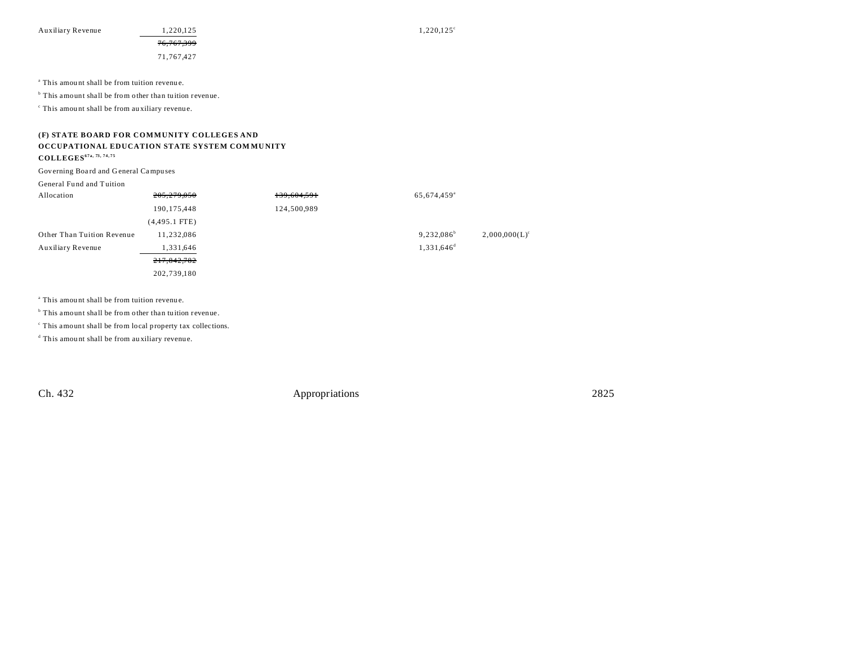Auxiliary Revenue  $1,220,125$   $1,220,125$   $1,220,125$ 

76,767,399

71,767,427

a This amou nt shall be from tuition revenu e.

<sup>b</sup> This amount shall be from other than tuition revenue.

c This amou nt shall be from au xiliary revenue.

#### **(F) STATE BOARD FOR COMMUNITY COLLEGES AND OCCUPATIONAL EDUCATION STATE SYSTEM COM MU NITY**

**COLLEGES67a, 73, 74, 75**

Governing Boa rd and G eneral Campu ses

#### General Fund and Tuition

| Allocation                 | 205,279,050     | 139,604,591 | 65,674,459 <sup>a</sup>  |                  |
|----------------------------|-----------------|-------------|--------------------------|------------------|
|                            | 190,175,448     | 124,500,989 |                          |                  |
|                            | $(4,495.1$ FTE) |             |                          |                  |
| Other Than Tuition Revenue | 11.232.086      |             | $9.232.086^{\circ}$      | $2,000,000(L)^c$ |
| Auxiliary Revenue          | 1,331,646       |             | $1,331,646$ <sup>d</sup> |                  |
|                            | 217,842,782     |             |                          |                  |
|                            | 202,739,180     |             |                          |                  |

a This amou nt shall be from tuition revenu e.

<sup>b</sup> This amount shall be from other than tuition revenue.

c This amount shall be from local property tax collections.

d This amou nt shall be from au xiliary revenue.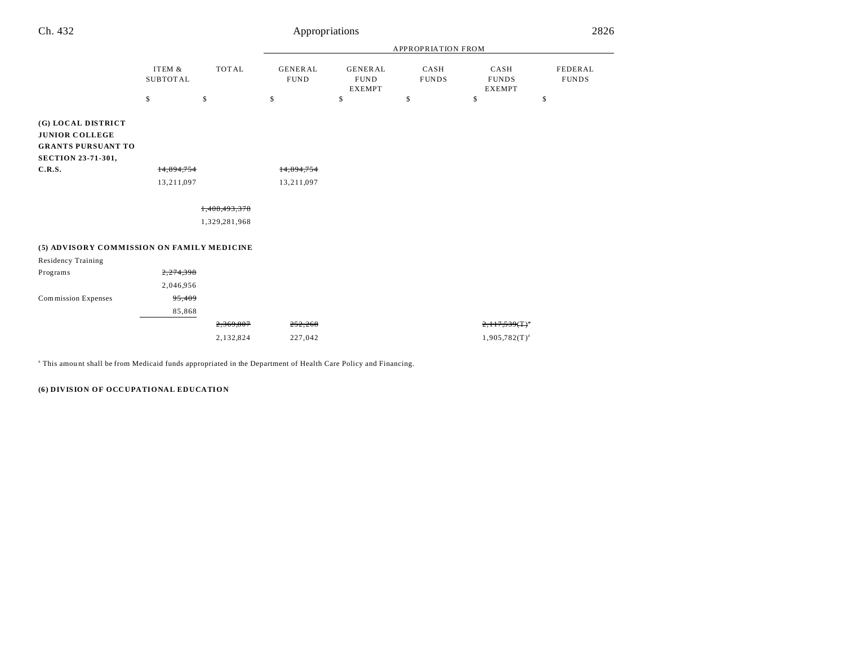| Ch. 432                                                                                               | Appropriations            |               |                               |                                                |                      |                                       | 2826                    |  |
|-------------------------------------------------------------------------------------------------------|---------------------------|---------------|-------------------------------|------------------------------------------------|----------------------|---------------------------------------|-------------------------|--|
|                                                                                                       |                           |               | APPROPRIATION FROM            |                                                |                      |                                       |                         |  |
|                                                                                                       | ITEM &<br><b>SUBTOTAL</b> | <b>TOTAL</b>  | <b>GENERAL</b><br><b>FUND</b> | <b>GENERAL</b><br><b>FUND</b><br><b>EXEMPT</b> | CASH<br><b>FUNDS</b> | CASH<br><b>FUNDS</b><br><b>EXEMPT</b> | FEDERAL<br><b>FUNDS</b> |  |
|                                                                                                       | $\mathbb{S}$              | \$            | \$                            | \$                                             | \$                   | \$                                    | \$                      |  |
| (G) LOCAL DISTRICT<br><b>JUNIOR COLLEGE</b><br><b>GRANTS PURSUANT TO</b><br><b>SECTION 23-71-301,</b> |                           |               |                               |                                                |                      |                                       |                         |  |
| C.R.S.                                                                                                | 14,894,754                |               | 14,894,754                    |                                                |                      |                                       |                         |  |
|                                                                                                       | 13,211,097                |               | 13,211,097                    |                                                |                      |                                       |                         |  |
|                                                                                                       |                           | 1,408,493,378 |                               |                                                |                      |                                       |                         |  |
|                                                                                                       |                           | 1,329,281,968 |                               |                                                |                      |                                       |                         |  |
| (5) ADVISORY COMMISSION ON FAMILY MEDICINE                                                            |                           |               |                               |                                                |                      |                                       |                         |  |
| Residency Training                                                                                    |                           |               |                               |                                                |                      |                                       |                         |  |
| Programs                                                                                              | 2,274,398                 |               |                               |                                                |                      |                                       |                         |  |
|                                                                                                       | 2,046,956                 |               |                               |                                                |                      |                                       |                         |  |
| Commission Expenses                                                                                   | 95,409                    |               |                               |                                                |                      |                                       |                         |  |
|                                                                                                       | 85,868                    |               |                               |                                                |                      |                                       |                         |  |
|                                                                                                       |                           | 2,369,807     | 252,268                       |                                                |                      | $2,117,539($ T $)^*$                  |                         |  |
|                                                                                                       |                           | 2,132,824     | 227,042                       |                                                |                      | $1,905,782(T)^{a}$                    |                         |  |

a This amou nt shall be from Medicaid funds appropriated in the Department of Health Care Policy and Financing.

**(6) DIVISION OF OCCUPATIONAL EDUCATION**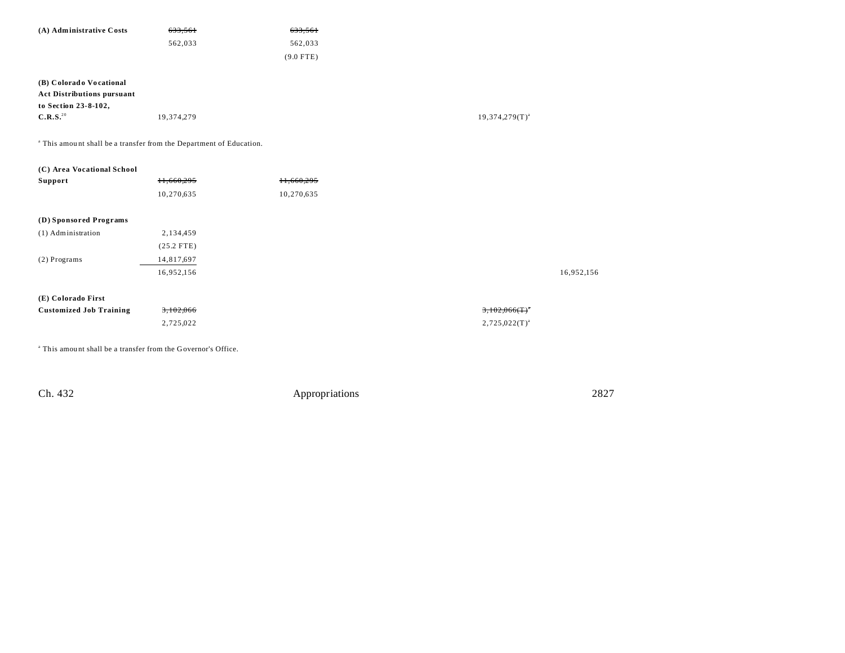| (A) Administrative Costs          | 633,561    | 633,561     |
|-----------------------------------|------------|-------------|
|                                   | 562,033    | 562,033     |
|                                   |            | $(9.0$ FTE) |
|                                   |            |             |
| (B) Colorado Vocational           |            |             |
| <b>Act Distributions pursuant</b> |            |             |
| to Section 23-8-102,              |            |             |
| C.R.S. <sup>20</sup>              | 19,374,279 |             |

<sup>a</sup> This amount shall be a transfer from the Department of Education.

| (C) Area Vocational School     |              |            |                              |            |
|--------------------------------|--------------|------------|------------------------------|------------|
| Support                        | 11,660,295   | 11,660,295 |                              |            |
|                                | 10,270,635   | 10,270,635 |                              |            |
| (D) Sponsored Programs         |              |            |                              |            |
| (1) Administration             | 2,134,459    |            |                              |            |
|                                | $(25.2$ FTE) |            |                              |            |
| $(2)$ Programs                 | 14,817,697   |            |                              |            |
|                                | 16,952,156   |            |                              | 16,952,156 |
| (E) Colorado First             |              |            |                              |            |
| <b>Customized Job Training</b> | 3,102,066    |            | $3,102,066($ T) <sup>*</sup> |            |
|                                | 2,725,022    |            | $2,725,022(T)^{a}$           |            |
|                                |              |            |                              |            |

a This amou nt shall be a transfer from the Governor's Office.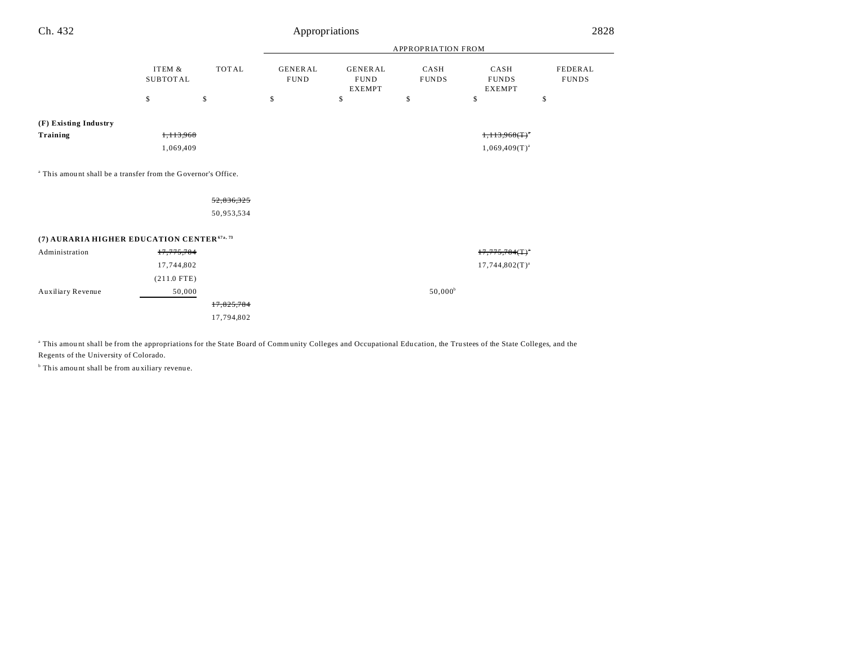| Ch. 432                                                |                           | 2828<br>Appropriations<br><b>APPROPRIATION FROM</b><br><b>TOTAL</b><br><b>GENERAL</b><br><b>FEDERAL</b><br><b>GENERAL</b><br>CASH<br>CASH<br><b>FUND</b><br><b>FUND</b><br><b>FUNDS</b><br><b>FUNDS</b><br><b>FUNDS</b><br><b>EXEMPT</b><br><b>EXEMPT</b><br>\$<br>\$<br>\$<br>\$<br>\$<br>\$<br>$1,113,968($ T $)$ <sup>*</sup><br>$1,069,409(T)^{a}$<br>52,836,325<br>50,953,534<br>$17,775,784$ (T) <sup>*</sup><br>$17,744,802(T)^{a}$<br>$50,000^{\rm b}$<br>50,000<br>17,825,784<br>17,794,802 |  |  |  |  |
|--------------------------------------------------------|---------------------------|------------------------------------------------------------------------------------------------------------------------------------------------------------------------------------------------------------------------------------------------------------------------------------------------------------------------------------------------------------------------------------------------------------------------------------------------------------------------------------------------------|--|--|--|--|
|                                                        |                           |                                                                                                                                                                                                                                                                                                                                                                                                                                                                                                      |  |  |  |  |
|                                                        | ITEM &<br><b>SUBTOTAL</b> |                                                                                                                                                                                                                                                                                                                                                                                                                                                                                                      |  |  |  |  |
|                                                        | \$                        |                                                                                                                                                                                                                                                                                                                                                                                                                                                                                                      |  |  |  |  |
| (F) Existing Industry                                  |                           |                                                                                                                                                                                                                                                                                                                                                                                                                                                                                                      |  |  |  |  |
| Training                                               |                           |                                                                                                                                                                                                                                                                                                                                                                                                                                                                                                      |  |  |  |  |
|                                                        |                           |                                                                                                                                                                                                                                                                                                                                                                                                                                                                                                      |  |  |  |  |
|                                                        |                           |                                                                                                                                                                                                                                                                                                                                                                                                                                                                                                      |  |  |  |  |
|                                                        |                           |                                                                                                                                                                                                                                                                                                                                                                                                                                                                                                      |  |  |  |  |
| (7) AURARIA HIGHER EDUCATION CENTER <sup>67a, 73</sup> |                           |                                                                                                                                                                                                                                                                                                                                                                                                                                                                                                      |  |  |  |  |
| Administration                                         |                           |                                                                                                                                                                                                                                                                                                                                                                                                                                                                                                      |  |  |  |  |
|                                                        |                           |                                                                                                                                                                                                                                                                                                                                                                                                                                                                                                      |  |  |  |  |
|                                                        |                           |                                                                                                                                                                                                                                                                                                                                                                                                                                                                                                      |  |  |  |  |
| Auxiliary Revenue                                      |                           | 1,113,968<br>1,069,409<br><sup>a</sup> This amount shall be a transfer from the Governor's Office.<br>17,775,784<br>17,744,802<br>$(211.0$ FTE)                                                                                                                                                                                                                                                                                                                                                      |  |  |  |  |
|                                                        |                           |                                                                                                                                                                                                                                                                                                                                                                                                                                                                                                      |  |  |  |  |
|                                                        |                           |                                                                                                                                                                                                                                                                                                                                                                                                                                                                                                      |  |  |  |  |
|                                                        |                           |                                                                                                                                                                                                                                                                                                                                                                                                                                                                                                      |  |  |  |  |

<sup>a</sup> This amount shall be from the appropriations for the State Board of Community Colleges and Occupational Education, the Trustees of the State Colleges, and the Regents of the University of Colorado.

<sup>b</sup> This amount shall be from auxiliary revenue.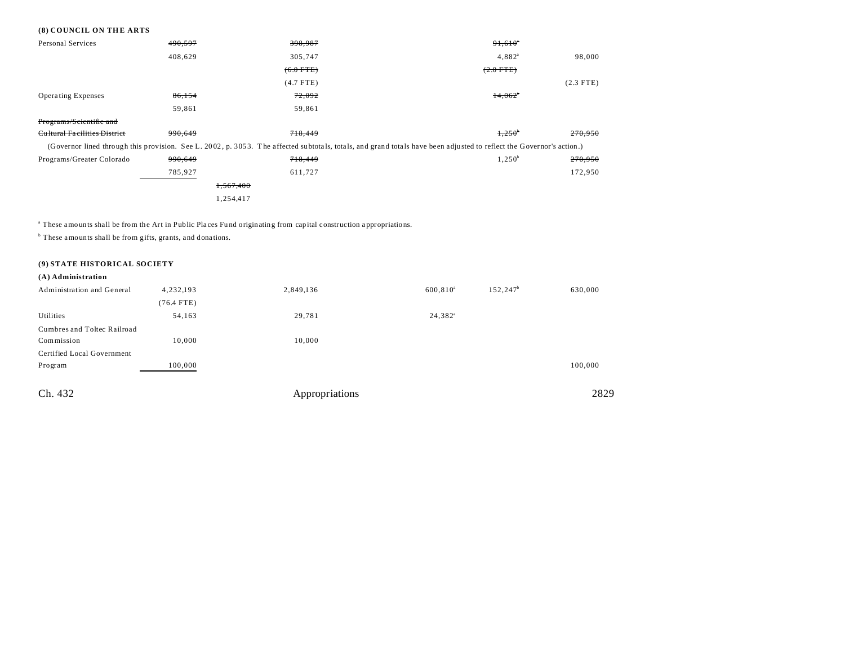#### **(8) COUNCIL ON THE ARTS**

| <b>Personal Services</b>     | 490,597 | 398,987     | $91,610$ <sup>*</sup>                                                                                                                                                |             |
|------------------------------|---------|-------------|----------------------------------------------------------------------------------------------------------------------------------------------------------------------|-------------|
|                              | 408,629 | 305.747     | $4.882^{a}$                                                                                                                                                          | 98,000      |
|                              |         | $(6.0$ FTE) | $(2.0$ FTE)                                                                                                                                                          |             |
|                              |         | $(4.7$ FTE) |                                                                                                                                                                      | $(2.3$ FTE) |
| <b>Operating Expenses</b>    | 86,154  | 72,092      | 14,062                                                                                                                                                               |             |
|                              | 59,861  | 59,861      |                                                                                                                                                                      |             |
| Programs/Scientific and      |         |             |                                                                                                                                                                      |             |
| Cultural Facilities District | 990.649 | 718,449     | $1,250^{\circ}$                                                                                                                                                      | 270,950     |
|                              |         |             | (Governor lined through this provision. See L. 2002, p. 3053. The affected subtotals, totals, and grand totals have been adjusted to reflect the Governor's action.) |             |
| Programs/Greater Colorado    | 990,649 | 718,449     | $1,250^b$                                                                                                                                                            | 270,950     |
|                              | 785,927 | 611,727     |                                                                                                                                                                      | 172,950     |
|                              |         | 1.567.400   |                                                                                                                                                                      |             |
|                              |         | 1,254,417   |                                                                                                                                                                      |             |

a These amounts shall be from the Art in Public Pla ces Fu nd originating from capital construction a ppropriations.

<sup>b</sup> These amounts shall be from gifts, grants, and donations.

#### **(9) STATE HISTORICAL SOCIETY**

| (A) Administration          |              |                |             |                    |         |
|-----------------------------|--------------|----------------|-------------|--------------------|---------|
| Administration and General  | 4,232,193    | 2,849,136      | $600,810^a$ | $152, 247^{\circ}$ | 630,000 |
|                             | $(76.4$ FTE) |                |             |                    |         |
| Utilities                   | 54,163       | 29,781         | $24,382^a$  |                    |         |
| Cumbres and Toltec Railroad |              |                |             |                    |         |
| Commission                  | 10,000       | 10,000         |             |                    |         |
| Certified Local Government  |              |                |             |                    |         |
| Program                     | 100,000      |                |             |                    | 100,000 |
|                             |              |                |             |                    |         |
| Ch. 432                     |              | Appropriations |             |                    | 2829    |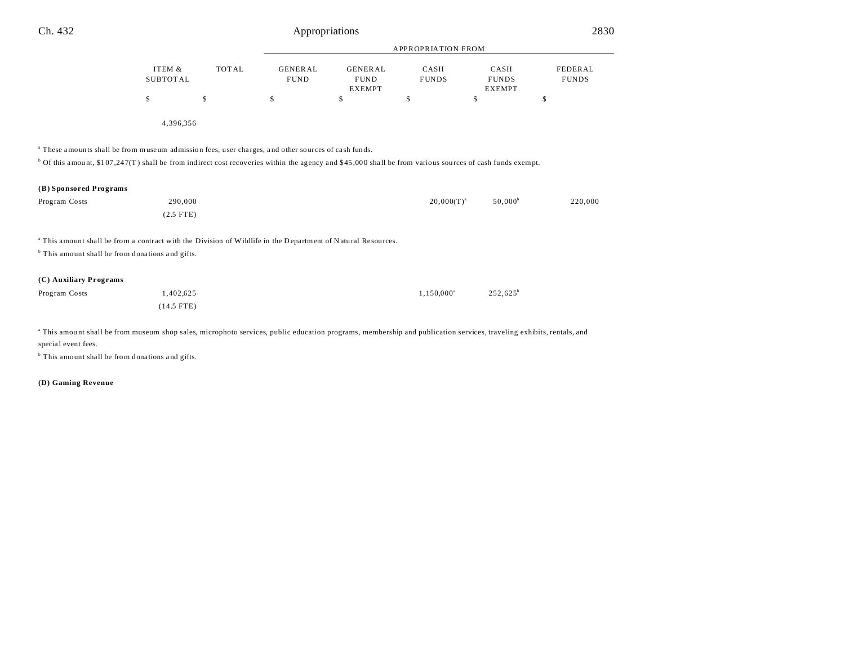|                        |                                                                                                                                                                                 |              |                               | <b>APPROPRIATION FROM</b>                      |                      |                                       |                                |
|------------------------|---------------------------------------------------------------------------------------------------------------------------------------------------------------------------------|--------------|-------------------------------|------------------------------------------------|----------------------|---------------------------------------|--------------------------------|
|                        | ITEM &<br><b>SUBTOTAL</b>                                                                                                                                                       | <b>TOTAL</b> | <b>GENERAL</b><br><b>FUND</b> | <b>GENERAL</b><br><b>FUND</b><br><b>EXEMPT</b> | CASH<br><b>FUNDS</b> | CASH<br><b>FUNDS</b><br><b>EXEMPT</b> | <b>FEDERAL</b><br><b>FUNDS</b> |
|                        | \$                                                                                                                                                                              | \$           | \$                            | \$                                             | \$                   | \$                                    | \$                             |
|                        | 4,396,356                                                                                                                                                                       |              |                               |                                                |                      |                                       |                                |
|                        | <sup>a</sup> These amounts shall be from museum admission fees, user charges, and other sources of cash funds.                                                                  |              |                               |                                                |                      |                                       |                                |
|                        | $\degree$ Of this amount, \$107,247(T) shall be from indirect cost recoveries within the agency and \$45,000 shall be from various sources of cash funds exempt.                |              |                               |                                                |                      |                                       |                                |
| (B) Sponsored Programs |                                                                                                                                                                                 |              |                               |                                                |                      |                                       |                                |
| Program Costs          | 290,000                                                                                                                                                                         |              |                               |                                                | $20,000(T)^{a}$      | $50,000^{\circ}$                      | 220,000                        |
|                        | $(2.5$ FTE)                                                                                                                                                                     |              |                               |                                                |                      |                                       |                                |
|                        | <sup>a</sup> This amount shall be from a contract with the Division of Wildlife in the Department of Natural Resources.                                                         |              |                               |                                                |                      |                                       |                                |
|                        | <sup>b</sup> This amount shall be from donations and gifts.                                                                                                                     |              |                               |                                                |                      |                                       |                                |
| (C) Auxiliary Programs |                                                                                                                                                                                 |              |                               |                                                |                      |                                       |                                |
| Program Costs          | 1,402,625                                                                                                                                                                       |              |                               |                                                | $1,150,000^a$        | $252,625^b$                           |                                |
|                        | $(14.5$ FTE)                                                                                                                                                                    |              |                               |                                                |                      |                                       |                                |
|                        | <sup>a</sup> This amount shall be from museum shop sales, microphoto services, public education programs, membership and publication services, traveling exhibits, rentals, and |              |                               |                                                |                      |                                       |                                |
| special event fees.    |                                                                                                                                                                                 |              |                               |                                                |                      |                                       |                                |
|                        | <sup>b</sup> This amount shall be from donations and gifts.                                                                                                                     |              |                               |                                                |                      |                                       |                                |

**(D) Gaming Revenue**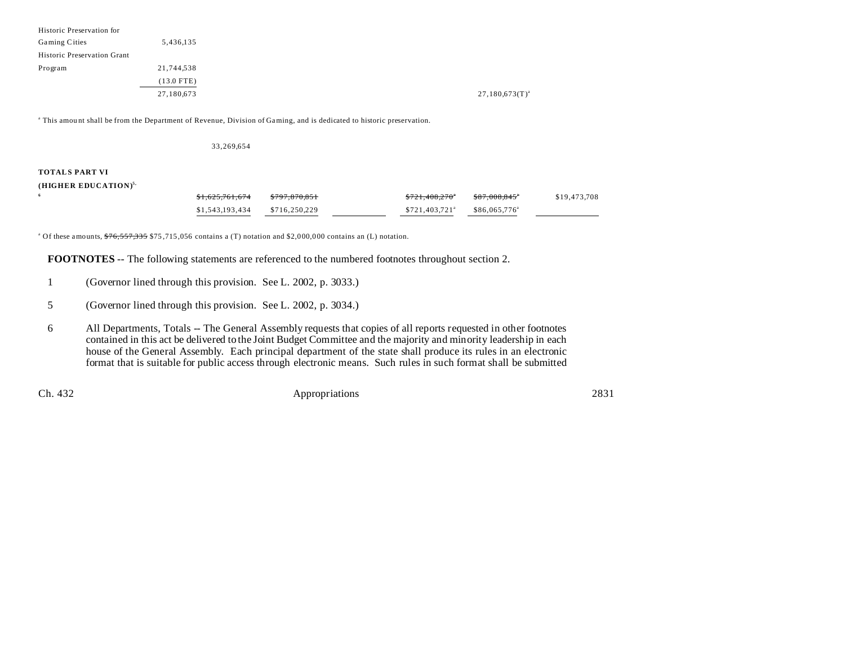| Historic Preservation for   |              |                     |
|-----------------------------|--------------|---------------------|
| Gaming Cities               | 5,436,135    |                     |
| Historic Preservation Grant |              |                     |
| Program                     | 21,744,538   |                     |
|                             | $(13.0$ FTE) |                     |
|                             | 27,180,673   | $27,180,673(T)^{a}$ |

a This amou nt shall be from the Department of Revenue, Division of Gaming, and is dedicated to historic preservation.

#### 33,269,654

### **TOTALS PART VI**

**6**

#### **(HIGHER EDUCATION)5,**

| <del>\$1,625,761,674</del> | 0.7070000001<br>5797.870.851 | $0.721$ $0.00200$<br>3121.400.270 | \$87,008,845"         | \$19,473,708 |
|----------------------------|------------------------------|-----------------------------------|-----------------------|--------------|
| \$1,543,193,434            | \$716,250,229                | $$721.403.721$ <sup>a</sup>       | $$86.065.776^{\circ}$ |              |

<sup>a</sup> Of these amounts,  $\frac{676}{557,335}$  \$75,715,056 contains a (T) notation and \$2,000,000 contains an (L) notation.

**FOOTNOTES** -- The following statements are referenced to the numbered footnotes throughout section 2.

- 1 (Governor lined through this provision. See L. 2002, p. 3033.)
- 5 (Governor lined through this provision. See L. 2002, p. 3034.)
- 6 All Departments, Totals -- The General Assembly requests that copies of all reports requested in other footnotes contained in this act be delivered to the Joint Budget Committee and the majority and minority leadership in each house of the General Assembly. Each principal department of the state shall produce its rules in an electronic format that is suitable for public access through electronic means. Such rules in such format shall be submitted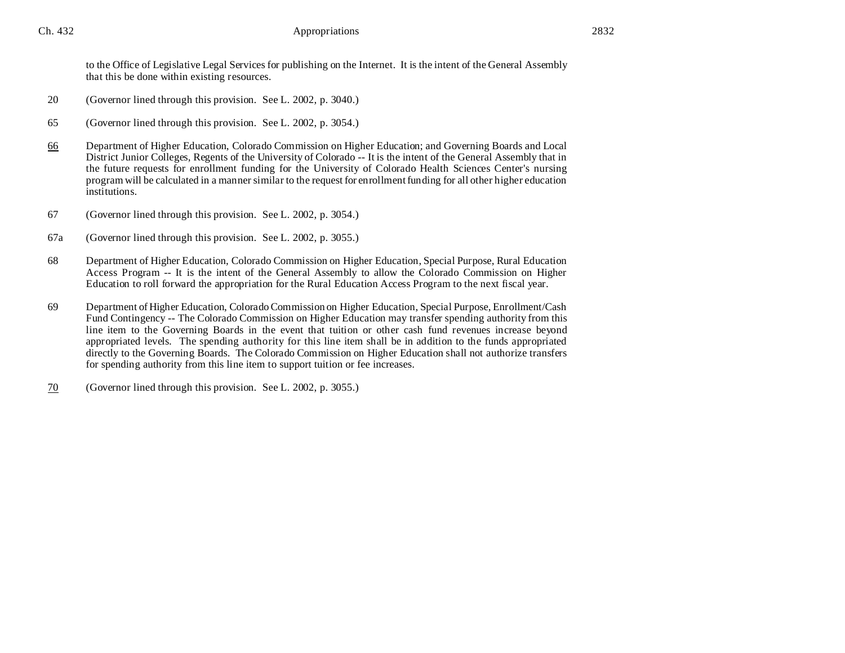to the Office of Legislative Legal Services for publishing on the Internet. It is the intent of the General Assembly that this be done within existing resources.

- 20 (Governor lined through this provision. See L. 2002, p. 3040.)
- 65 (Governor lined through this provision. See L. 2002, p. 3054.)
- 66 Department of Higher Education, Colorado Commission on Higher Education; and Governing Boards and Local District Junior Colleges, Regents of the University of Colorado -- It is the intent of the General Assembly that in the future requests for enrollment funding for the University of Colorado Health Sciences Center's nursing program will be calculated in a manner similar to the request for enrollment funding for all other higher education institutions.
- 67 (Governor lined through this provision. See L. 2002, p. 3054.)
- 67a (Governor lined through this provision. See L. 2002, p. 3055.)
- 68 Department of Higher Education, Colorado Commission on Higher Education, Special Purpose, Rural Education Access Program -- It is the intent of the General Assembly to allow the Colorado Commission on Higher Education to roll forward the appropriation for the Rural Education Access Program to the next fiscal year.
- 69 Department of Higher Education, Colorado Commission on Higher Education, Special Purpose, Enrollment/Cash Fund Contingency -- The Colorado Commission on Higher Education may transfer spending authority from this line item to the Governing Boards in the event that tuition or other cash fund revenues increase beyond appropriated levels. The spending authority for this line item shall be in addition to the funds appropriated directly to the Governing Boards. The Colorado Commission on Higher Education shall not authorize transfers for spending authority from this line item to support tuition or fee increases.
- 70 (Governor lined through this provision. See L. 2002, p. 3055.)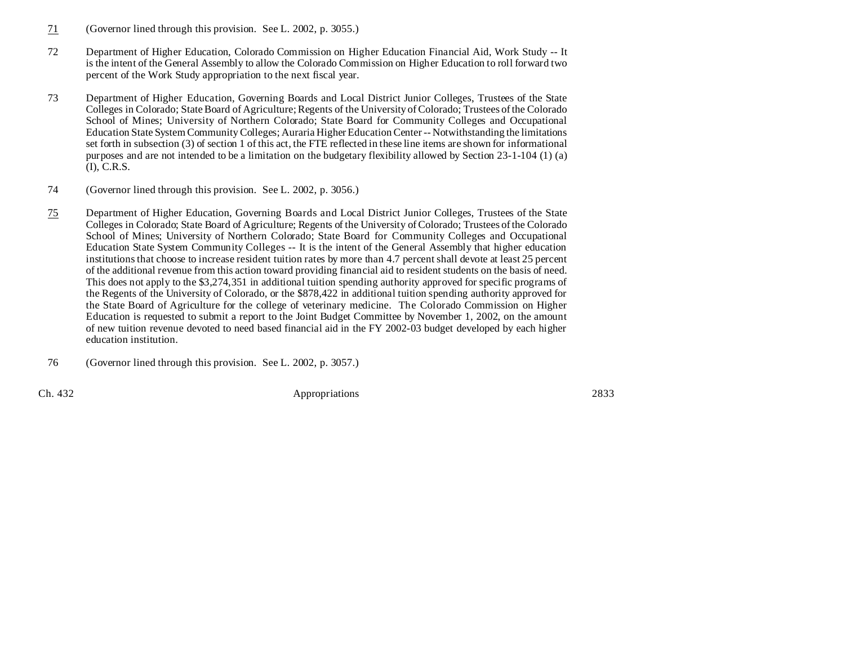- 71 (Governor lined through this provision. See L. 2002, p. 3055.)
- 72 Department of Higher Education, Colorado Commission on Higher Education Financial Aid, Work Study -- It is the intent of the General Assembly to allow the Colorado Commission on Higher Education to roll forward two percent of the Work Study appropriation to the next fiscal year.
- 73 Department of Higher Education, Governing Boards and Local District Junior Colleges, Trustees of the State Colleges in Colorado; State Board of Agriculture; Regents of the University of Colorado; Trustees of the Colorado School of Mines; University of Northern Colorado; State Board for Community Colleges and Occupational Education State System Community Colleges; Auraria Higher Education Center -- Notwithstanding the limitations set forth in subsection (3) of section 1 of this act, the FTE reflected in these line items are shown for informational purposes and are not intended to be a limitation on the budgetary flexibility allowed by Section 23-1-104 (1) (a) (I), C.R.S.
- 74 (Governor lined through this provision. See L. 2002, p. 3056.)
- 75 Department of Higher Education, Governing Boards and Local District Junior Colleges, Trustees of the State Colleges in Colorado; State Board of Agriculture; Regents of the University of Colorado; Trustees of the Colorado School of Mines; University of Northern Colorado; State Board for Community Colleges and Occupational Education State System Community Colleges -- It is the intent of the General Assembly that higher education institutions that choose to increase resident tuition rates by more than 4.7 percent shall devote at least 25 percent of the additional revenue from this action toward providing financial aid to resident students on the basis of need. This does not apply to the \$3,274,351 in additional tuition spending authority approved for specific programs of the Regents of the University of Colorado, or the \$878,422 in additional tuition spending authority approved for the State Board of Agriculture for the college of veterinary medicine. The Colorado Commission on Higher Education is requested to submit a report to the Joint Budget Committee by November 1, 2002, on the amount of new tuition revenue devoted to need based financial aid in the FY 2002-03 budget developed by each higher education institution.
- 76 (Governor lined through this provision. See L. 2002, p. 3057.)